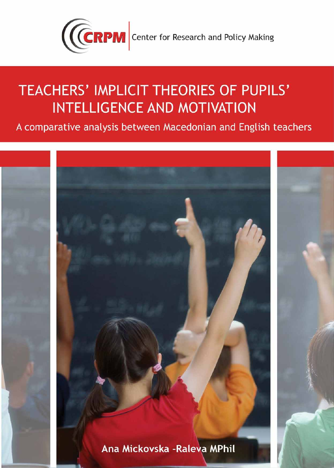

A comparative analysis between Macedonian and English teachers

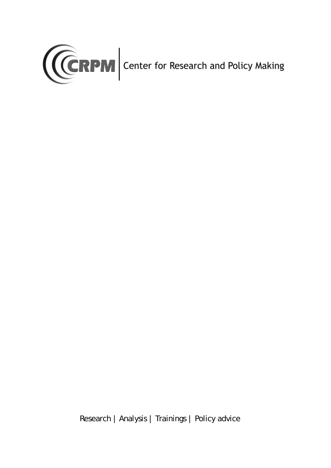

Research | Analysis | Trainings | Policy advice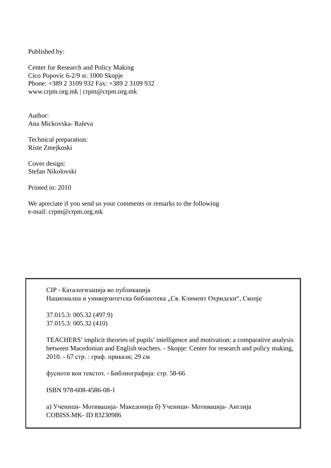Published by:

Center for Research and Policy Making Cico Popovic 6-2/9 st. 1000 Skopje Phone: +389 2 3109 932 Fax: +389 2 3109 932 www.crpm.org.mk | crpm@crpm.org.mk

Author: Ana Mickovska- Raleva

Technical preparation: Riste Zmejkoski

Cover design: Stefan Nikolovski

Printed in: 2010

We apreciate if you send us your comments or remarks to the following e-mail: crpm@crpm.org.mk

 CIP - Каталогизација во публикација Национална и универзитетска библиотека "Св. Климент Охридски", Скопје

 37.015.3: 005.32 (497.9) 37.015.3: 005.32 (410)

 TEACHERS' implicit theories of pupils' intelligence and motivation: a comparative analysis between Macedonian and English teachers. - Skopje: Center for research and policy making, 2010. - 67 стр. : граф. прикази; 29 см

фусноти кон текстот. - Библиографија: стр. 58-66

ISBN 978-608-4586-08-1

а) Ученици- Мотивација- Македонија б) Ученици- Мотивација- Англија COBISS.MK- ID 83230986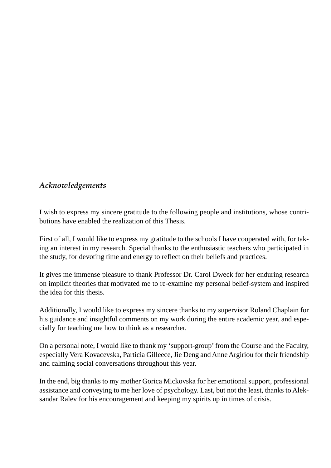### *Acknowledgements*

I wish to express my sincere gratitude to the following people and institutions, whose contributions have enabled the realization of this Thesis.

First of all, I would like to express my gratitude to the schools I have cooperated with, for taking an interest in my research. Special thanks to the enthusiastic teachers who participated in the study, for devoting time and energy to reflect on their beliefs and practices.

It gives me immense pleasure to thank Professor Dr. Carol Dweck for her enduring research on implicit theories that motivated me to re-examine my personal belief-system and inspired the idea for this thesis.

Additionally, I would like to express my sincere thanks to my supervisor Roland Chaplain for his guidance and insightful comments on my work during the entire academic year, and especially for teaching me how to think as a researcher.

On a personal note, I would like to thank my 'support-group' from the Course and the Faculty, especially Vera Kovacevska, Particia Gilleece, Jie Deng and Anne Argiriou for their friendship and calming social conversations throughout this year.

In the end, big thanks to my mother Gorica Mickovska for her emotional support, professional assistance and conveying to me her love of psychology. Last, but not the least, thanks to Aleksandar Ralev for his encouragement and keeping my spirits up in times of crisis.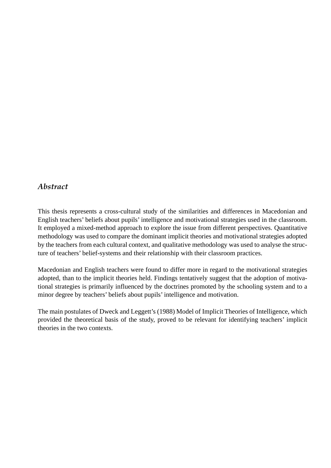### *Abstract*

This thesis represents a cross-cultural study of the similarities and differences in Macedonian and English teachers' beliefs about pupils' intelligence and motivational strategies used in the classroom. It employed a mixed-method approach to explore the issue from different perspectives. Quantitative methodology was used to compare the dominant implicit theories and motivational strategies adopted by the teachers from each cultural context, and qualitative methodology was used to analyse the structure of teachers' belief-systems and their relationship with their classroom practices.

Macedonian and English teachers were found to differ more in regard to the motivational strategies adopted, than to the implicit theories held. Findings tentatively suggest that the adoption of motivational strategies is primarily influenced by the doctrines promoted by the schooling system and to a minor degree by teachers' beliefs about pupils' intelligence and motivation.

The main postulates of Dweck and Leggett's (1988) Model of Implicit Theories of Intelligence, which provided the theoretical basis of the study, proved to be relevant for identifying teachers' implicit theories in the two contexts.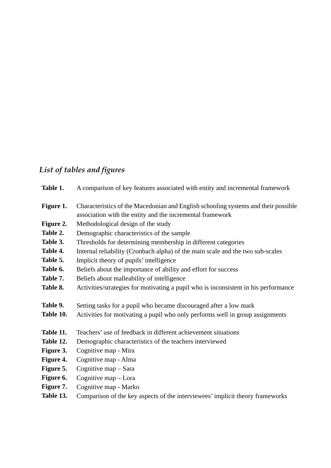## List of tables and figures

| Table 1.  | A comparison of key features associated with entity and incremental framework                                                                   |
|-----------|-------------------------------------------------------------------------------------------------------------------------------------------------|
| Figure 1. | Characteristics of the Macedonian and English schooling systems and their possible<br>association with the entity and the incremental framework |
| Figure 2. | Methodological design of the study                                                                                                              |
| Table 2.  | Demographic characteristics of the sample                                                                                                       |
| Table 3.  | Thresholds for determining membership in different categories                                                                                   |
| Table 4.  | Internal reliability (Cronbach alpha) of the main scale and the two sub-scales                                                                  |
| Table 5.  | Implicit theory of pupils' intelligence                                                                                                         |
| Table 6.  | Beliefs about the importance of ability and effort for success                                                                                  |
| Table 7.  | Beliefs about malleability of intelligence                                                                                                      |
| Table 8.  | Activities/strategies for motivating a pupil who is inconsistent in his performance                                                             |
| Table 9.  | Setting tasks for a pupil who became discouraged after a low mark                                                                               |
| Table 10. | Activities for motivating a pupil who only performs well in group assignments                                                                   |
| Table 11. | Teachers' use of feedback in different achievement situations                                                                                   |
| Table 12. | Demographic characteristics of the teachers interviewed                                                                                         |
| Figure 3. | Cognitive map - Mira                                                                                                                            |
| Figure 4. | Cognitive map - Alma                                                                                                                            |
| Figure 5. | Cognitive map - Sara                                                                                                                            |
| Figure 6. | Cognitive map - Lora                                                                                                                            |
| Figure 7. | Cognitive map - Marko                                                                                                                           |
| Table 13. | Comparison of the key aspects of the interviewees' implicit theory frameworks                                                                   |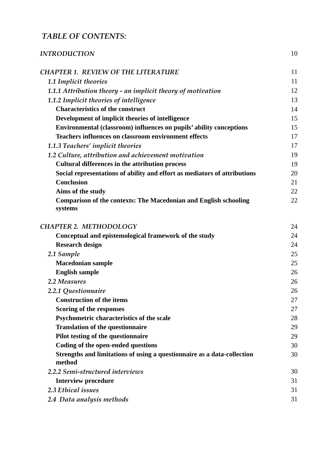### *TABLE OF CONTENTS:*

| <b>INTRODUCTION</b>                                                                | 10 |
|------------------------------------------------------------------------------------|----|
| <b>CHAPTER 1. REVIEW OF THE LITERATURE</b>                                         | 11 |
| <b>1.1 Implicit theories</b>                                                       | 11 |
| 1.1.1 Attribution theory - an implicit theory of motivation                        | 12 |
| 1.1.2 Implicit theories of intelligence                                            | 13 |
| <b>Characteristics of the construct</b>                                            | 14 |
| Development of implicit theories of intelligence                                   | 15 |
| Environmental (classroom) influences on pupils' ability conceptions                | 15 |
| <b>Teachers influences on classroom environment effects</b>                        | 17 |
| 1.1.3 Teachers' implicit theories                                                  | 17 |
| 1.2 Culture, attribution and achievement motivation                                | 19 |
| <b>Cultural differences in the attribution process</b>                             | 19 |
| Social representations of ability and effort as mediators of attributions          | 20 |
| <b>Conclusion</b>                                                                  | 21 |
| Aims of the study                                                                  | 22 |
| <b>Comparison of the contexts: The Macedonian and English schooling</b><br>systems | 22 |
| <b>CHAPTER 2. METHODOLOGY</b>                                                      | 24 |
| Conceptual and epistemological framework of the study                              | 24 |
| <b>Research design</b>                                                             | 24 |
| 2.1 Sample                                                                         | 25 |
| <b>Macedonian sample</b>                                                           | 25 |
| <b>English sample</b>                                                              | 26 |
| 2.2 Measures                                                                       | 26 |
| 2.2.1 Questionnaire                                                                | 26 |
| <b>Construction of the items</b>                                                   | 27 |
| Scoring of the responses                                                           | 27 |
| Psychometric characteristics of the scale                                          | 28 |
| <b>Translation of the questionnaire</b>                                            | 29 |
| Pilot testing of the questionnaire                                                 | 29 |
| Coding of the open-ended questions                                                 | 30 |
| Strengths and limitations of using a questionnaire as a data-collection<br>method  | 30 |
| 2.2.2 Semi-structured interviews                                                   | 30 |
| <b>Interview procedure</b>                                                         | 31 |
| 2.3 Ethical issues                                                                 | 31 |
| 2.4 Data analysis methods                                                          | 31 |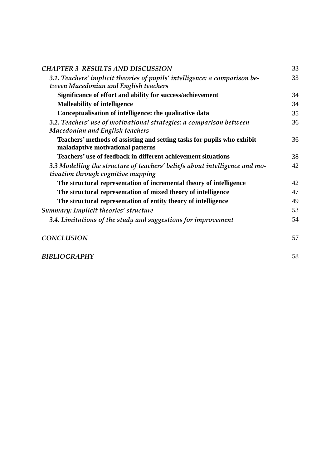| <b>CHAPTER 3 RESULTS AND DISCUSSION</b>                                                                             | 33 |
|---------------------------------------------------------------------------------------------------------------------|----|
| 3.1. Teachers' implicit theories of pupils' intelligence: a comparison be-<br>tween Macedonian and English teachers | 33 |
| Significance of effort and ability for success/achievement                                                          | 34 |
| <b>Malleability of intelligence</b>                                                                                 | 34 |
| Conceptualisation of intelligence: the qualitative data                                                             | 35 |
| 3.2. Teachers' use of motivational strategies: a comparison between<br><b>Macedonian and English teachers</b>       | 36 |
| Teachers' methods of assisting and setting tasks for pupils who exhibit<br>maladaptive motivational patterns        | 36 |
| Teachers' use of feedback in different achievement situations                                                       | 38 |
| 3.3 Modelling the structure of teachers' beliefs about intelligence and mo-<br>tivation through cognitive mapping   | 42 |
| The structural representation of incremental theory of intelligence                                                 | 42 |
| The structural representation of mixed theory of intelligence                                                       | 47 |
| The structural representation of entity theory of intelligence                                                      | 49 |
| <b>Summary: Implicit theories' structure</b>                                                                        | 53 |
| 3.4. Limitations of the study and suggestions for improvement                                                       | 54 |
| <b>CONCLUSION</b>                                                                                                   | 57 |
| <b>BIBLIOGRAPHY</b>                                                                                                 | 58 |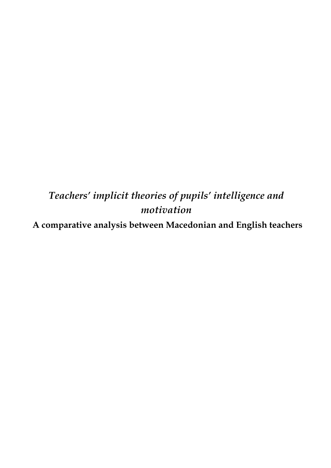## *Teachers' implicit theories of pupils' intelligence and motivation*

**A comparative analysis between Macedonian and English teachers**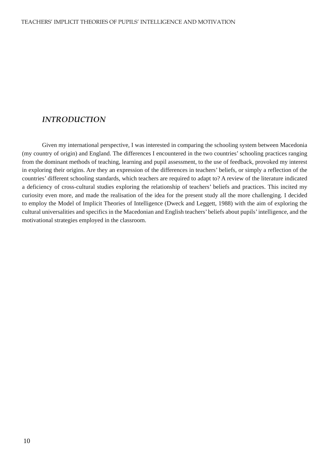### *INTRODUCTION*

 Given my international perspective, I was interested in comparing the schooling system between Macedonia (my country of origin) and England. The differences I encountered in the two countries' schooling practices ranging from the dominant methods of teaching, learning and pupil assessment, to the use of feedback, provoked my interest in exploring their origins. Are they an expression of the differences in teachers' beliefs, or simply a reflection of the countries' different schooling standards, which teachers are required to adapt to? A review of the literature indicated a deficiency of cross-cultural studies exploring the relationship of teachers' beliefs and practices. This incited my curiosity even more, and made the realisation of the idea for the present study all the more challenging. I decided to employ the Model of Implicit Theories of Intelligence (Dweck and Leggett, 1988) with the aim of exploring the cultural universalities and specifics in the Macedonian and English teachers' beliefs about pupils' intelligence, and the motivational strategies employed in the classroom.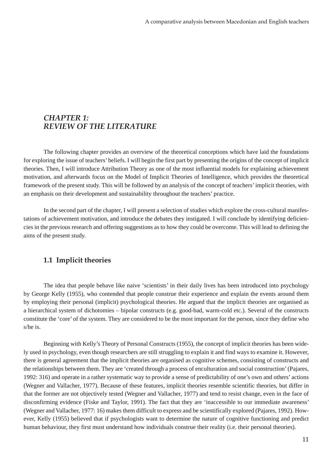### *CHAPTER 1: REVIEW OF THE LITERATURE*

 The following chapter provides an overview of the theoretical conceptions which have laid the foundations for exploring the issue of teachers' beliefs. I will begin the first part by presenting the origins of the concept of implicit theories. Then, I will introduce Attribution Theory as one of the most influential models for explaining achievement motivation, and afterwards focus on the Model of Implicit Theories of Intelligence, which provides the theoretical framework of the present study. This will be followed by an analysis of the concept of teachers' implicit theories, with an emphasis on their development and sustainability throughout the teachers' practice.

 In the second part of the chapter, I will present a selection of studies which explore the cross-cultural manifestations of achievement motivation, and introduce the debates they instigated. I will conclude by identifying deficiencies in the previous research and offering suggestions as to how they could be overcome. This will lead to defining the aims of the present study.

### **1.1 Implicit theories**

 The idea that people behave like naive 'scientists' in their daily lives has been introduced into psychology by George Kelly (1955), who contended that people construe their experience and explain the events around them by employing their personal (implicit) psychological theories. He argued that the implicit theories are organised as a hierarchical system of dichotomies – bipolar constructs (e.g. good-bad, warm-cold etc.). Several of the constructs constitute the 'core' of the system. They are considered to be the most important for the person, since they define who s/he is.

 Beginning with Kelly's Theory of Personal Constructs (1955), the concept of implicit theories has been widely used in psychology, even though researchers are still struggling to explain it and find ways to examine it. However, there is general agreement that the implicit theories are organised as cognitive schemes, consisting of constructs and the relationships between them. They are 'created through a process of enculturation and social construction' (Pajares, 1992: 316) and operate in a rather systematic way to provide a sense of predictability of one's own and others' actions (Wegner and Vallacher, 1977). Because of these features, implicit theories resemble scientific theories, but differ in that the former are not objectively tested (Wegner and Vallacher, 1977) and tend to resist change, even in the face of disconfirming evidence (Fiske and Taylor, 1991). The fact that they are 'inaccessible to our immediate awareness' (Wegner and Vallacher, 1977: 16) makes them difficult to express and be scientifically explored (Pajares, 1992). However, Kelly (1955) believed that if psychologists want to determine the nature of cognitive functioning and predict human behaviour, they first must understand how individuals construe their reality (i.e. their personal theories).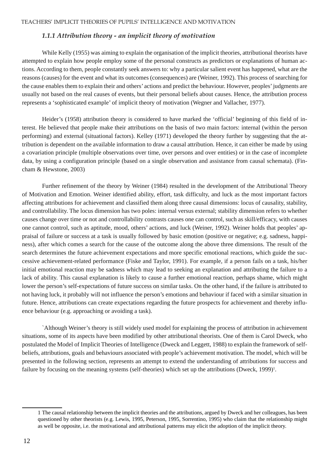### *1.1.1 Attribution theory - an implicit theory of motivation*

While Kelly (1955) was aiming to explain the organisation of the implicit theories, attributional theorists have attempted to explain how people employ some of the personal constructs as predictors or explanations of human actions. According to them, people constantly seek answers to: why a particular salient event has happened, what are the reasons (causes) for the event and what its outcomes (consequences) are (Weiner, 1992). This process of searching for the cause enables them to explain their and others' actions and predict the behaviour. However, peoples' judgments are usually not based on the real causes of events, but their personal beliefs about causes. Hence, the attribution process represents a 'sophisticated example' of implicit theory of motivation (Wegner and Vallacher, 1977).

 Heider's (1958) attribution theory is considered to have marked the 'official' beginning of this field of interest. He believed that people make their attributions on the basis of two main factors: internal (within the person performing) and external (situational factors). Kelley (1971) developed the theory further by suggesting that the attribution is dependent on the available information to draw a causal attribution. Hence, it can either be made by using a covariation principle (multiple observations over time, over persons and over entities) or in the case of incomplete data, by using a configuration principle (based on a single observation and assistance from causal schemata). (Fincham & Hewstone, 2003)

 Further refinement of the theory by Weiner (1984) resulted in the development of the Attributional Theory of Motivation and Emotion. Weiner identified ability, effort, task difficulty, and luck as the most important factors affecting attributions for achievement and classified them along three causal dimensions: locus of causality, stability, and controllability. The locus dimension has two poles: internal versus external; stability dimension refers to whether causes change over time or not and controllability contrasts causes one can control, such as skill/efficacy, with causes one cannot control, such as aptitude, mood, others' actions, and luck (Weiner, 1992). Weiner holds that peoples' appraisal of failure or success at a task is usually followed by basic emotion (positive or negative; e.g. sadness, happiness), after which comes a search for the cause of the outcome along the above three dimensions. The result of the search determines the future achievement expectations and more specific emotional reactions, which guide the successive achievement-related performance (Fiske and Taylor, 1991). For example, if a person fails on a task, his/her initial emotional reaction may be sadness which may lead to seeking an explanation and attributing the failure to a lack of ability. This causal explanation is likely to cause a further emotional reaction, perhaps shame, which might lower the person's self-expectations of future success on similar tasks. On the other hand, if the failure is attributed to not having luck, it probably will not influence the person's emotions and behaviour if faced with a similar situation in future. Hence, attributions can create expectations regarding the future prospects for achievement and thereby influence behaviour (e.g. approaching or avoiding a task).

 `Although Weiner's theory is still widely used model for explaining the process of attribution in achievement situations, some of its aspects have been modified by other attributional theorists. One of them is Carol Dweck, who postulated the Model of Implicit Theories of Intelligence (Dweck and Leggett, 1988) to explain the framework of selfbeliefs, attributions, goals and behaviours associated with people's achievement motivation. The model, which will be presented in the following section, represents an attempt to extend the understanding of attributions for success and failure by focusing on the meaning systems (self-theories) which set up the attributions (Dweck, 1999)<sup>1</sup>.

<sup>1</sup> The causal relationship between the implicit theories and the attributions, argued by Dweck and her colleagues, has been questioned by other theorists (e.g. Lewis, 1995, Peterson, 1995, Sorrentino, 1995) who claim that the relationship might as well be opposite, i.e. the motivational and attributional patterns may elicit the adoption of the implicit theory.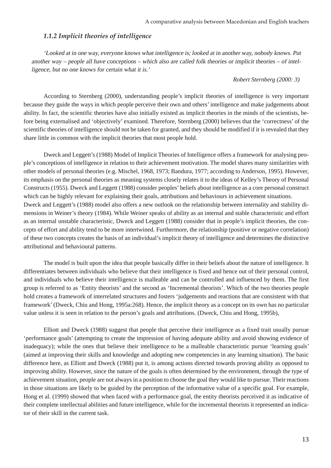### *1.1.2 Implicit theories of intelligence*

'Looked at in one way, everyone knows what intelligence is; looked at in another way, nobody knows. Put another way – people all have conceptions – which also are called folk theories or implicit theories – of intelligence, but no one knows for certain what it is.'

### *Robert Sternberg (2000: 3)*

 According to Sternberg (2000), understanding people's implicit theories of intelligence is very important because they guide the ways in which people perceive their own and others' intelligence and make judgements about ability. In fact, the scientific theories have also initially existed as implicit theories in the minds of the scientists, before being externalised and 'objectively' examined. Therefore, Sternberg (2000) believes that the 'correctness' of the scientific theories of intelligence should not be taken for granted, and they should be modified if it is revealed that they share little in common with the implicit theories that most people hold.

 Dweck and Leggett's (1988) Model of Implicit Theories of Intelligence offers a framework for analysing people's conceptions of intelligence in relation to their achievement motivation. The model shares many similarities with other models of personal theories (e.g. Mischel, 1968, 1973; Bandura, 1977; according to Anderson, 1995). However, its emphasis on the personal theories as meaning systems closely relates it to the ideas of Kelley's Theory of Personal Constructs (1955). Dweck and Leggett (1988) consider peoples' beliefs about intelligence as a core personal construct which can be highly relevant for explaining their goals, attributions and behaviours in achievement situations. Dweck and Leggett's (1988) model also offers a new outlook on the relationship between internality and stability dimensions in Weiner's theory (1984). While Weiner speaks of ability as an internal and stable characteristic and effort as an internal unstable characteristic, Dweck and Leggett (1988) consider that in people's implicit theories, the concepts of effort and ability tend to be more intertwined. Furthermore, the relationship (positive or negative correlation) of these two concepts creates the basis of an individual's implicit theory of intelligence and determines the distinctive attributional and behavioural patterns.

 The model is built upon the idea that people basically differ in their beliefs about the nature of intelligence. It differentiates between individuals who believe that their intelligence is fixed and hence out of their personal control, and individuals who believe their intelligence is malleable and can be controlled and influenced by them. The first group is referred to as 'Entity theorists' and the second as 'Incremental theorists'. Which of the two theories people hold creates a framework of interrelated structures and fosters 'judgements and reactions that are consistent with that framework' (Dweck, Chiu and Hong, 1995a:268). Hence, the implicit theory as a concept on its own has no particular value unless it is seen in relation to the person's goals and attributions. (Dweck, Chiu and Hong, 1995b),

 Elliott and Dweck (1988) suggest that people that perceive their intelligence as a fixed trait usually pursue 'performance goals' (attempting to create the impression of having adequate ability and avoid showing evidence of inadequacy); while the ones that believe their intelligence to be a malleable characteristic pursue 'learning goals' (aimed at improving their skills and knowledge and adopting new competencies in any learning situation). The basic difference here, as Elliott and Dweck (1988) put it, is among actions directed towards proving ability as opposed to improving ability. However, since the nature of the goals is often determined by the environment, through the type of achievement situation, people are not always in a position to choose the goal they would like to pursue. Their reactions in those situations are likely to be guided by the perception of the informative value of a specific goal. For example, Hong et al. (1999) showed that when faced with a performance goal, the entity theorists perceived it as indicative of their complete intellectual abilities and future intelligence, while for the incremental theorists it represented an indicator of their skill in the current task.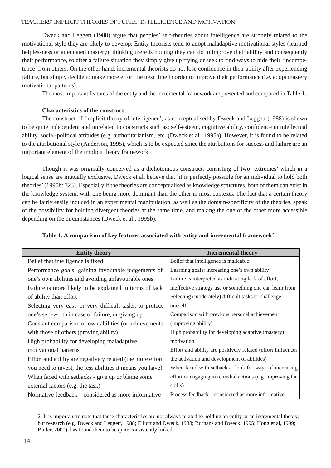Dweck and Leggett (1988) argue that peoples' self-theories about intelligence are strongly related to the motivational style they are likely to develop. Entity theorists tend to adopt maladaptive motivational styles (learned helplessness or attenuated mastery), thinking there is nothing they can do to improve their ability and consequently their performance, so after a failure situation they simply give up trying or seek to find ways to hide their 'incompetence' from others. On the other hand, incremental theorists do not lose confidence in their ability after experiencing failure, but simply decide to make more effort the next time in order to improve their performance (i.e. adopt mastery motivational patterns).

The most important features of the entity and the incremental framework are presented and compared in Table 1.

### **Characteristics of the construct**

 The construct of 'implicit theory of intelligence', as conceptualised by Dweck and Leggett (1988) is shown to be quite independent and unrelated to constructs such as: self-esteem, cognitive ability, confidence in intellectual ability, social-political attitudes (e.g. authoritarianism) etc. (Dweck et al., 1995a). However, it is found to be related to the attributional style (Anderson, 1995), which is to be expected since the attributions for success and failure are an important element of the implicit theory framework

 Though it was originally conceived as a dichotomous construct, consisting of two 'extremes' which in a logical sense are mutually exclusive, Dweck et al. believe that 'it is perfectly possible for an individual to hold both theories' (1995b: 323). Especially if the theories are conceptualised as knowledge structures, both of them can exist in the knowledge system, with one being more dominant than the other in most contexts. The fact that a certain theory can be fairly easily induced in an experimental manipulation, as well as the domain-specificity of the theories, speak of the possibility for holding divergent theories at the same time, and making the one or the other more accessible depending on the circumstances (Dweck et al., 1995b).

| <b>Entity theory</b>                                       | <b>Incremental theory</b>                                    |
|------------------------------------------------------------|--------------------------------------------------------------|
| Belief that intelligence is fixed                          | Belief that intelligence is malleable                        |
| Performance goals: gaining favourable judgements of        | Learning goals: increasing one's own ability                 |
| one's own abilities and avoiding unfavourable ones         | Failure is interpreted as indicating lack of effort,         |
| Failure is more likely to be explained in terms of lack    | ineffective strategy use or something one can learn from     |
| of ability than effort                                     | Selecting (moderately) difficult tasks to challenge          |
| Selecting very easy or very difficult tasks, to protect    | oneself                                                      |
| one's self-worth in case of failure, or giving up          | Comparison with previous personal achievement                |
| Constant comparison of own abilities (or achievement)      | (improving ability)                                          |
| with those of others (proving ability)                     | High probability for developing adaptive (mastery)           |
| High probability for developing maladaptive                | motivation                                                   |
| motivational patterns                                      | Effort and ability are positively related (effort influences |
| Effort and ability are negatively related (the more effort | the activation and development of abilities)                 |
| you need to invest, the less abilities it means you have)  | When faced with setbacks - look for ways of increasing       |
| When faced with setbacks - give up or blame some           | effort or engaging in remedial actions (e.g. improving the   |
| external factors (e.g. the task)                           | skills)                                                      |
| Normative feedback – considered as more informative        | Process feedback – considered as more informative            |

| Table 1. A comparison of key features associated with entity and incremental framework <sup>2</sup> |  |  |  |  |
|-----------------------------------------------------------------------------------------------------|--|--|--|--|
|                                                                                                     |  |  |  |  |

<sup>2</sup> It is important to note that these characteristics are not always related to holding an entity or an incremental theory, but research (e.g. Dweck and Leggett, 1988; Elliott and Dweck, 1988; Burhans and Dweck, 1995; Hong et al, 1999; Butler, 2000), has found them to be quite consistently linked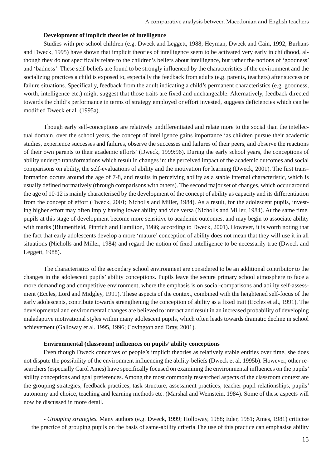#### **Development of implicit theories of intelligence**

 Studies with pre-school children (e.g. Dweck and Leggett, 1988; Heyman, Dweck and Cain, 1992, Burhans and Dweck, 1995) have shown that implicit theories of intelligence seem to be activated very early in childhood, although they do not specifically relate to the children's beliefs about intelligence, but rather the notions of 'goodness' and 'badness'. These self-beliefs are found to be strongly influenced by the characteristics of the environment and the socializing practices a child is exposed to, especially the feedback from adults (e.g. parents, teachers) after success or failure situations. Specifically, feedback from the adult indicating a child's permanent characteristics (e.g. goodness, worth, intelligence etc.) might suggest that those traits are fixed and unchangeable. Alternatively, feedback directed towards the child's performance in terms of strategy employed or effort invested, suggests deficiencies which can be modified Dweck et al. (1995a).

 Though early self-conceptions are relatively undifferentiated and relate more to the social than the intellectual domain, over the school years, the concept of intelligence gains importance 'as children pursue their academic studies, experience successes and failures, observe the successes and failures of their peers, and observe the reactions of their own parents to their academic efforts' (Dweck, 1999:96). During the early school years, the conceptions of ability undergo transformations which result in changes in: the perceived impact of the academic outcomes and social comparisons on ability, the self-evaluations of ability and the motivation for learning (Dweck, 2001). The first transformation occurs around the age of 7-8, and results in perceiving ability as a stable internal characteristic, which is usually defined normatively (through comparisons with others). The second major set of changes, which occur around the age of 10-12 is mainly characterised by the development of the concept of ability as capacity and its differentiation from the concept of effort (Dweck, 2001; Nicholls and Miller, 1984). As a result, for the adolescent pupils, investing higher effort may often imply having lower ability and vice versa (Nicholls and Miller, 1984). At the same time, pupils at this stage of development become more sensitive to academic outcomes, and may begin to associate ability with marks (Blumenfield, Pintrich and Hamilton, 1986; according to Dweck, 2001). However, it is worth noting that the fact that early adolescents develop a more 'mature' conception of ability does not mean that they will use it in all situations (Nicholls and Miller, 1984) and regard the notion of fixed intelligence to be necessarily true (Dweck and Leggett, 1988).

 The characteristics of the secondary school environment are considered to be an additional contributor to the changes in the adolescent pupils' ability conceptions. Pupils leave the secure primary school atmosphere to face a more demanding and competitive environment, where the emphasis is on social-comparisons and ability self-assessment (Eccles, Lord and Midgley, 1991). These aspects of the context, combined with the heightened self-focus of the early adolescents, contribute towards strengthening the conception of ability as a fixed trait (Eccles et al., 1991). The developmental and environmental changes are believed to interact and result in an increased probability of developing maladaptive motivational styles within many adolescent pupils, which often leads towards dramatic decline in school achievement (Galloway et al. 1995, 1996; Covington and Dray, 2001).

### **Environmental (classroom) influences on pupils' ability conceptions**

 Even though Dweck conceives of people's implicit theories as relatively stable entities over time, she does not dispute the possibility of the environment influencing the ability-beliefs (Dweck et al. 1995b). However, other researchers (especially Carol Ames) have specifically focused on examining the environmental influences on the pupils' ability conceptions and goal preferences. Among the most commonly researched aspects of the classroom context are the grouping strategies, feedback practices, task structure, assessment practices, teacher-pupil relationships, pupils' autonomy and choice, teaching and learning methods etc. (Marshal and Weinstein, 1984). Some of these aspects will now be discussed in more detail.

*- Grouping strategies.* Many authors (e.g. Dweck, 1999; Holloway, 1988; Eder, 1981; Ames, 1981) criticize the practice of grouping pupils on the basis of same-ability criteria The use of this practice can emphasise ability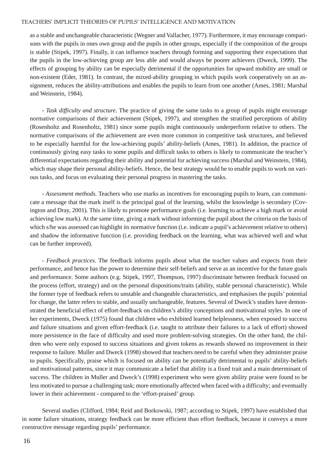as a stable and unchangeable characteristic (Wegner and Vallacher, 1977). Furthermore, it may encourage comparisons with the pupils in ones own group and the pupils in other groups, especially if the composition of the groups is stable (Stipek, 1997). Finally, it can influence teachers through forming and supporting their expectations that the pupils in the low-achieving group are less able and would always be poorer achievers (Dweck, 1999). The effects of grouping by ability can be especially detrimental if the opportunities for upward mobility are small or non-existent (Eder, 1981). In contrast, the mixed-ability grouping in which pupils work cooperatively on an assignment, reduces the ability-attributions and enables the pupils to learn from one another (Ames, 1981; Marshal and Weinstein, 1984).

*- Task difficulty and structure.* The practice of giving the same tasks to a group of pupils might encourage normative comparisons of their achievement (Stipek, 1997), and strengthen the stratified perceptions of ability (Rosenholtz and Rosenholtz, 1981) since some pupils might continuously underperform relative to others. The normative comparisons of the achievement are even more common in competitive task structures, and believed to be especially harmful for the low-achieving pupils' ability-beliefs (Ames, 1981). In addition, the practice of continuously giving easy tasks to some pupils and difficult tasks to others is likely to communicate the teacher's differential expectations regarding their ability and potential for achieving success (Marshal and Weinstein, 1984), which may shape their personal ability-beliefs. Hence, the best strategy would be to enable pupils to work on various tasks, and focus on evaluating their personal progress in mastering the tasks.

*- Assessment methods.* Teachers who use marks as incentives for encouraging pupils to learn, can communicate a message that the mark itself is the principal goal of the learning, whilst the knowledge is secondary (Covington and Dray, 2001). This is likely to promote performance goals (i.e. learning to achieve a high mark or avoid achieving low mark). At the same time, giving a mark without informing the pupil about the criteria on the basis of which s/he was assessed can highlight its normative function (i.e. indicate a pupil's achievement relative to others) and shadow the informative function (i.e. providing feedback on the learning, what was achieved well and what can be further improved).

*- Feedback practices.* The feedback informs pupils about what the teacher values and expects from their performance, and hence has the power to determine their self-beliefs and serve as an incentive for the future goals and performance. Some authors (e.g. Stipek, 1997, Thompson, 1997) discriminate between feedback focused on the process (effort, strategy) and on the personal dispositions/traits (ability, stable personal characteristic). While the former type of feedback refers to unstable and changeable characteristics, and emphasises the pupils' potential for change, the latter refers to stable, and usually unchangeable, features. Several of Dweck's studies have demonstrated the beneficial effect of effort-feedback on children's ability conceptions and motivational styles. In one of her experiments, Dweck (1975) found that children who exhibited learned helplessness, when exposed to success and failure situations and given effort-feedback (i.e. taught to attribute their failures to a lack of effort) showed more persistence in the face of difficulty and used more problem-solving strategies. On the other hand, the children who were only exposed to success situations and given tokens as rewards showed no improvement in their response to failure. Muller and Dweck (1998) showed that teachers need to be careful when they administer praise to pupils. Specifically, praise which is focused on ability can be potentially detrimental to pupils' ability-beliefs and motivational patterns, since it may communicate a belief that ability is a fixed trait and a main determinant of success. The children in Muller and Dweck's (1998) experiment who were given ability praise were found to be less motivated to pursue a challenging task; more emotionally affected when faced with a difficulty; and eventually lower in their achievement - compared to the 'effort-praised' group.

 Several studies (Clifford, 1984; Reid and Borkowski, 1987; according to Stipek, 1997) have established that in some failure situations, strategy feedback can be more efficient than effort feedback, because it conveys a more constructive message regarding pupils' performance.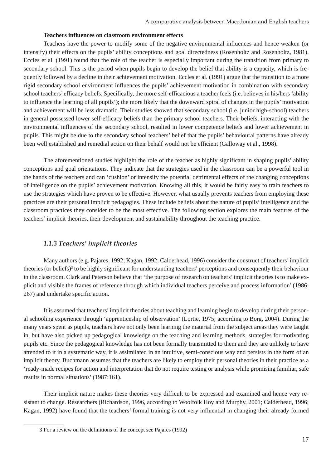#### **Teachers influences on classroom environment effects**

 Teachers have the power to modify some of the negative environmental influences and hence weaken (or intensify) their effects on the pupils' ability conceptions and goal directedness (Rosenholtz and Rosenholtz, 1981). Eccles et al. (1991) found that the role of the teacher is especially important during the transition from primary to secondary school. This is the period when pupils begin to develop the belief that ability is a capacity, which is frequently followed by a decline in their achievement motivation. Eccles et al. (1991) argue that the transition to a more rigid secondary school environment influences the pupils' achievement motivation in combination with secondary school teachers' efficacy beliefs. Specifically, the more self-efficacious a teacher feels (i.e. believes in his/hers 'ability to influence the learning of all pupils'); the more likely that the downward spiral of changes in the pupils' motivation and achievement will be less dramatic. Their studies showed that secondary school (i.e. junior high-school) teachers in general possessed lower self-efficacy beliefs than the primary school teachers. Their beliefs, interacting with the environmental influences of the secondary school, resulted in lower competence beliefs and lower achievement in pupils. This might be due to the secondary school teachers' belief that the pupils' behavioural patterns have already been well established and remedial action on their behalf would not be efficient (Galloway et al., 1998).

 The aforementioned studies highlight the role of the teacher as highly significant in shaping pupils' ability conceptions and goal orientations. They indicate that the strategies used in the classroom can be a powerful tool in the hands of the teachers and can 'cushion' or intensify the potential detrimental effects of the changing conceptions of intelligence on the pupils' achievement motivation. Knowing all this, it would be fairly easy to train teachers to use the strategies which have proven to be effective. However, what usually prevents teachers from employing these practices are their personal implicit pedagogies. These include beliefs about the nature of pupils' intelligence and the classroom practices they consider to be the most effective. The following section explores the main features of the teachers' implicit theories, their development and sustainability throughout the teaching practice.

### *1.1.3 Teachers' implicit theories*

 Many authors (e.g. Pajares, 1992; Kagan, 1992; Calderhead, 1996) consider the construct of teachers' implicit theories (or beliefs)<sup>3</sup> to be highly significant for understanding teachers' perceptions and consequently their behaviour in the classroom. Clark and Peterson believe that 'the purpose of research on teachers' implicit theories is to make explicit and visible the frames of reference through which individual teachers perceive and process information' (1986: 267) and undertake specific action.

 It is assumed that teachers' implicit theories about teaching and learning begin to develop during their personal schooling experience through 'apprenticeship of observation' (Lortie, 1975; according to Borg, 2004). During the many years spent as pupils, teachers have not only been learning the material from the subject areas they were taught in, but have also picked up pedagogical knowledge on the teaching and learning methods, strategies for motivating pupils etc. Since the pedagogical knowledge has not been formally transmitted to them and they are unlikely to have attended to it in a systematic way, it is assimilated in an intuitive, semi-conscious way and persists in the form of an implicit theory. Buchmann assumes that the teachers are likely to employ their personal theories in their practice as a 'ready-made recipes for action and interpretation that do not require testing or analysis while promising familiar, safe results in normal situations' (1987:161).

 Their implicit nature makes these theories very difficult to be expressed and examined and hence very resistant to change. Researchers (Richardson, 1996, according to Woolfolk Hoy and Murphy, 2001; Calderhead, 1996; Kagan, 1992) have found that the teachers' formal training is not very influential in changing their already formed

<sup>3</sup> For a review on the definitions of the concept see Pajares (1992)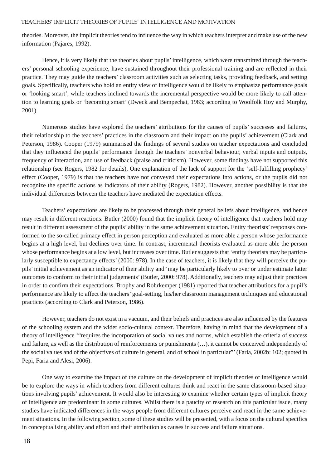theories. Moreover, the implicit theories tend to influence the way in which teachers interpret and make use of the new information (Pajares, 1992).

 Hence, it is very likely that the theories about pupils' intelligence, which were transmitted through the teachers' personal schooling experience, have sustained throughout their professional training and are reflected in their practice. They may guide the teachers' classroom activities such as selecting tasks, providing feedback, and setting goals. Specifically, teachers who hold an entity view of intelligence would be likely to emphasize performance goals or 'looking smart', while teachers inclined towards the incremental perspective would be more likely to call attention to learning goals or 'becoming smart' (Dweck and Bempechat, 1983; according to Woolfolk Hoy and Murphy, 2001).

 Numerous studies have explored the teachers' attributions for the causes of pupils' successes and failures, their relationship to the teachers' practices in the classroom and their impact on the pupils' achievement (Clark and Peterson, 1986). Cooper (1979) summarised the findings of several studies on teacher expectations and concluded that they influenced the pupils' performance through the teachers' nonverbal behaviour, verbal inputs and outputs, frequency of interaction, and use of feedback (praise and criticism). However, some findings have not supported this relationship (see Rogers, 1982 for details). One explanation of the lack of support for the 'self-fulfilling prophecy' effect (Cooper, 1979) is that the teachers have not conveyed their expectations into actions, or the pupils did not recognize the specific actions as indicators of their ability (Rogers, 1982). However, another possibility is that the individual differences between the teachers have mediated the expectation effects.

 Teachers' expectations are likely to be processed through their general beliefs about intelligence, and hence may result in different reactions. Butler (2000) found that the implicit theory of intelligence that teachers hold may result in different assessment of the pupils' ability in the same achievement situation. Entity theorists' responses conformed to the so-called primacy effect in person perception and evaluated as more able a person whose performance begins at a high level, but declines over time. In contrast, incremental theorists evaluated as more able the person whose performance begins at a low level, but increases over time. Butler suggests that 'entity theorists may be particularly susceptible to expectancy effects' (2000: 978). In the case of teachers, it is likely that they will perceive the pupils' initial achievement as an indicator of their ability and 'may be particularly likely to over or under estimate latter outcomes to conform to their initial judgements' (Butler, 2000: 978). Additionally, teachers may adjust their practices in order to confirm their expectations. Brophy and Rohrkemper (1981) reported that teacher attributions for a pupil's performance are likely to affect the teachers' goal-setting, his/her classroom management techniques and educational practices (according to Clark and Peterson, 1986).

 However, teachers do not exist in a vacuum, and their beliefs and practices are also influenced by the features of the schooling system and the wider socio-cultural context. Therefore, having in mind that the development of a theory of intelligence '"requires the incorporation of social values and norms, which establish the criteria of success and failure, as well as the distribution of reinforcements or punishments (…), it cannot be conceived independently of the social values and of the objectives of culture in general, and of school in particular"' (Faria, 2002b: 102; quoted in Pepi, Faria and Alesi, 2006).

 One way to examine the impact of the culture on the development of implicit theories of intelligence would be to explore the ways in which teachers from different cultures think and react in the same classroom-based situations involving pupils' achievement. It would also be interesting to examine whether certain types of implicit theory of intelligence are predominant in some cultures. Whilst there is a paucity of research on this particular issue, many studies have indicated differences in the ways people from different cultures perceive and react in the same achievement situations. In the following section, some of these studies will be presented, with a focus on the cultural specifics in conceptualising ability and effort and their attribution as causes in success and failure situations.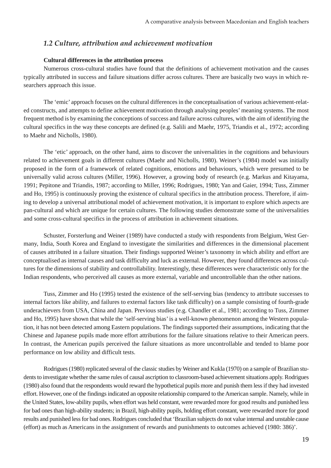### *1.2 Culture, attribution and achievement motivation*

### **Cultural differences in the attribution process**

 Numerous cross-cultural studies have found that the definitions of achievement motivation and the causes typically attributed in success and failure situations differ across cultures. There are basically two ways in which researchers approach this issue.

 The 'emic' approach focuses on the cultural differences in the conceptualisation of various achievement-related constructs, and attempts to define achievement motivation through analysing peoples' meaning systems. The most frequent method is by examining the conceptions of success and failure across cultures, with the aim of identifying the cultural specifics in the way these concepts are defined (e.g. Salili and Maehr, 1975, Triandis et al., 1972; according to Maehr and Nicholls, 1980).

 The 'etic' approach, on the other hand, aims to discover the universalities in the cognitions and behaviours related to achievement goals in different cultures (Maehr and Nicholls, 1980). Weiner's (1984) model was initially proposed in the form of a framework of related cognitions, emotions and behaviours, which were presumed to be universally valid across cultures (Miller, 1996). However, a growing body of research (e.g. Markus and Kitayama, 1991; Pepitone and Triandis, 1987; according to Miller, 1996; Rodrigues, 1980; Yan and Gaier, 1994; Tuss, Zimmer and Ho, 1995) is continuously proving the existence of cultural specifics in the attribution process. Therefore, if aiming to develop a universal attributional model of achievement motivation, it is important to explore which aspects are pan-cultural and which are unique for certain cultures. The following studies demonstrate some of the universalities and some cross-cultural specifics in the process of attribution in achievement situations.

 Schuster, Forsterlung and Weiner (1989) have conducted a study with respondents from Belgium, West Germany, India, South Korea and England to investigate the similarities and differences in the dimensional placement of causes attributed in a failure situation. Their findings supported Weiner's taxonomy in which ability and effort are conceptualised as internal causes and task difficulty and luck as external. However, they found differences across cultures for the dimensions of stability and controllability. Interestingly, these differences were characteristic only for the Indian respondents, who perceived all causes as more external, variable and uncontrollable than the other nations.

 Tuss, Zimmer and Ho (1995) tested the existence of the self-serving bias (tendency to attribute successes to internal factors like ability, and failures to external factors like task difficulty) on a sample consisting of fourth-grade underachievers from USA, China and Japan. Previous studies (e.g. Chandler et al., 1981; according to Tuss, Zimmer and Ho, 1995) have shown that while the 'self-serving bias' is a well-known phenomenon among the Western population, it has not been detected among Eastern populations. The findings supported their assumptions, indicating that the Chinese and Japanese pupils made more effort attributions for the failure situations relative to their American peers. In contrast, the American pupils perceived the failure situations as more uncontrollable and tended to blame poor performance on low ability and difficult tests.

 Rodrigues (1980) replicated several of the classic studies by Weiner and Kukla (1970) on a sample of Brazilian students to investigate whether the same rules of causal ascription to classroom-based achievement situations apply. Rodrigues (1980) also found that the respondents would reward the hypothetical pupils more and punish them less if they had invested effort. However, one of the findings indicated an opposite relationship compared to the American sample. Namely, while in the United States, low-ability pupils, when effort was held constant, were rewarded more for good results and punished less for bad ones than high-ability students; in Brazil, high-ability pupils, holding effort constant, were rewarded more for good results and punished less for bad ones. Rodrigues concluded that 'Brazilian subjects do not value internal and unstable cause (effort) as much as Americans in the assignment of rewards and punishments to outcomes achieved (1980: 386)'.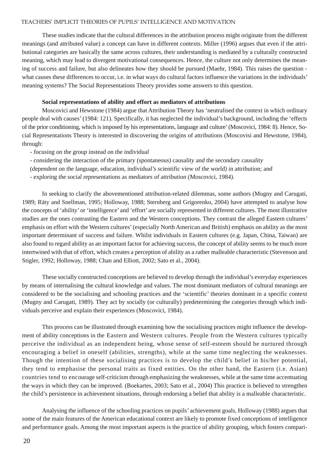These studies indicate that the cultural differences in the attribution process might originate from the different meanings (and attributed value) a concept can have in different contexts. Miller (1996) argues that even if the attributional categories are basically the same across cultures, their understanding is mediated by a culturally constructed meaning, which may lead to divergent motivational consequences. Hence, the culture not only determines the meaning of success and failure, but also delineates how they should be pursued (Maehr, 1984). This raises the question what causes these differences to occur, i.e. in what ways do cultural factors influence the variations in the individuals' meaning systems? The Social Representations Theory provides some answers to this question.

### **Social representations of ability and effort as mediators of attributions**

 Moscovici and Hewstone (1984) argue that Attribution Theory has 'neutralised the context in which ordinary people deal with causes' (1984: 121). Specifically, it has neglected the individual's background, including the 'effects of the prior conditioning, which is imposed by his representations, language and culture' (Moscovici, 1984: 8). Hence, Social Representations Theory is interested in discovering the origins of attributions (Moscovisi and Hewstone, 1984), through:

- focusing on the group instead on the individual
- considering the interaction of the primary (spontaneous) causality and the secondary causality
- (dependent on the language, education, individual's scientific view of the world) in attribution; and
- exploring the social representations as mediators of attribution (Moscovici, 1984).

 In seeking to clarify the abovementioned attribution-related dilemmas, some authors (Mugny and Carugati, 1989; Räty and Snellman, 1995; Holloway, 1988; Sternberg and Grigorenko, 2004) have attempted to analyse how the concepts of 'ability' or 'intelligence' and 'effort' are socially represented in different cultures. The most illustrative studies are the ones contrasting the Eastern and the Western conceptions. They contrast the alleged Eastern cultures' emphasis on effort with the Western cultures' (especially North American and British) emphasis on ability as the most important determinant of success and failure. Whilst individuals in Eastern cultures (e.g. Japan, China, Taiwan) are also found to regard ability as an important factor for achieving success, the concept of ability seems to be much more intertwined with that of effort, which creates a perception of ability as a rather malleable characteristic (Stevenson and Stigler, 1992; Holloway, 1988; Chan and Elliott, 2002; Sato et al., 2004).

 These socially constructed conceptions are believed to develop through the individual's everyday experiences by means of internalising the cultural knowledge and values. The most dominant mediators of cultural meanings are considered to be the socialising and schooling practices and the 'scientific' theories dominant in a specific context (Mugny and Carugati, 1989). They act by socially (or culturally) predetermining the categories through which individuals perceive and explain their experiences (Moscovici, 1984).

 This process can be illustrated through examining how the socialising practices might influence the development of ability conceptions in the Eastern and Western cultures. People from the Western cultures typically perceive the individual as an independent being, whose sense of self-esteem should be nurtured through encouraging a belief in oneself (abilities, strengths), while at the same time neglecting the weaknesses. Though the intention of these socialising practices is to develop the child's belief in his/her potential, they tend to emphasise the personal traits as fixed entities. On the other hand, the Eastern (i.e. Asian) countries tend to encourage self-criticism through emphasizing the weaknesses, while at the same time accentuating the ways in which they can be improved. (Boekartes, 2003; Sato et al., 2004) This practice is believed to strengthen the child's persistence in achievement situations, through endorsing a belief that ability is a malleable characteristic.

 Analysing the influence of the schooling practices on pupils' achievement goals, Holloway (1988) argues that some of the main features of the American educational context are likely to promote fixed conceptions of intelligence and performance goals. Among the most important aspects is the practice of ability grouping, which fosters compari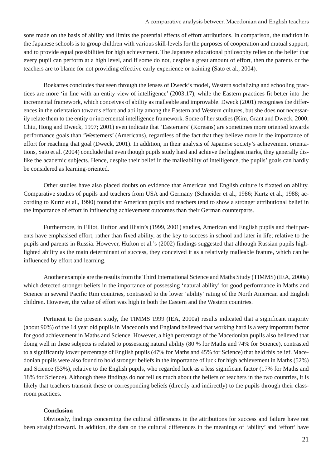sons made on the basis of ability and limits the potential effects of effort attributions. In comparison, the tradition in the Japanese schools is to group children with various skill-levels for the purposes of cooperation and mutual support, and to provide equal possibilities for high achievement. The Japanese educational philosophy relies on the belief that every pupil can perform at a high level, and if some do not, despite a great amount of effort, then the parents or the teachers are to blame for not providing effective early experience or training (Sato et al., 2004).

 Boekartes concludes that seen through the lenses of Dweck's model, Western socializing and schooling practices are more 'in line with an entity view of intelligence' (2003:17), while the Eastern practices fit better into the incremental framework, which conceives of ability as malleable and improvable. Dweck (2001) recognises the differences in the orientation towards effort and ability among the Eastern and Western cultures, but she does not necessarily relate them to the entity or incremental intelligence framework. Some of her studies (Kim, Grant and Dweck, 2000; Chiu, Hong and Dweck, 1997; 2001) even indicate that 'Easterners' (Koreans) are sometimes more oriented towards performance goals than 'Westerners' (Americans), regardless of the fact that they believe more in the importance of effort for reaching that goal (Dweck, 2001). In addition, in their analysis of Japanese society's achievement orientations, Sato et al. (2004) conclude that even though pupils study hard and achieve the highest marks, they generally dislike the academic subjects. Hence, despite their belief in the malleability of intelligence, the pupils' goals can hardly be considered as learning-oriented.

 Other studies have also placed doubts on evidence that American and English culture is fixated on ability. Comparative studies of pupils and teachers from USA and Germany (Schneider et al., 1986; Kurtz et al., 1988; according to Kurtz et al., 1990) found that American pupils and teachers tend to show a stronger attributional belief in the importance of effort in influencing achievement outcomes than their German counterparts.

 Furthermore, in Elliot, Hufton and Illisin's (1999, 2001) studies, American and English pupils and their parents have emphasised effort, rather than fixed ability, as the key to success in school and later in life; relative to the pupils and parents in Russia. However, Hufton et al.'s (2002) findings suggested that although Russian pupils highlighted ability as the main determinant of success, they conceived it as a relatively malleable feature, which can be influenced by effort and learning.

 Another example are the results from the Third International Science and Maths Study (TIMMS) (IEA, 2000a) which detected stronger beliefs in the importance of possessing 'natural ability' for good performance in Maths and Science in several Pacific Rim countries, contrasted to the lower 'ability' rating of the North American and English children. However, the value of effort was high in both the Eastern and the Western countries.

 Pertinent to the present study, the TIMMS 1999 (IEA, 2000a) results indicated that a significant majority (about 90%) of the 14 year old pupils in Macedonia and England believed that working hard is a very important factor for good achievement in Maths and Science. However, a high percentage of the Macedonian pupils also believed that doing well in these subjects is related to possessing natural ability (80 % for Maths and 74% for Science), contrasted to a significantly lower percentage of English pupils (47% for Maths and 45% for Science) that held this belief. Macedonian pupils were also found to hold stronger beliefs in the importance of luck for high achievement in Maths (52%) and Science (53%), relative to the English pupils, who regarded luck as a less significant factor (17% for Maths and 18% for Science). Although these findings do not tell us much about the beliefs of teachers in the two countries, it is likely that teachers transmit these or corresponding beliefs (directly and indirectly) to the pupils through their classroom practices.

### **Conclusion**

 Obviously, findings concerning the cultural differences in the attributions for success and failure have not been straightforward. In addition, the data on the cultural differences in the meanings of 'ability' and 'effort' have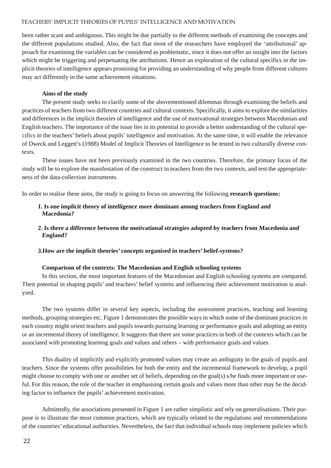been rather scant and ambiguous. This might be due partially to the different methods of examining the concepts and the different populations studied. Also, the fact that most of the researchers have employed the 'attributional' approach for examining the variables can be considered as problematic, since it does not offer an insight into the factors which might be triggering and perpetuating the attributions. Hence an exploration of the cultural specifics in the implicit theories of intelligence appears promising for providing an understanding of why people from different cultures may act differently in the same achievement situations.

#### **Aims of the study**

 The present study seeks to clarify some of the abovementioned dilemmas through examining the beliefs and practices of teachers from two different countries and cultural contexts. Specifically, it aims to explore the similarities and differences in the implicit theories of intelligence and the use of motivational strategies between Macedonian and English teachers. The importance of the issue lies in its potential to provide a better understanding of the cultural specifics in the teachers' beliefs about pupils' intelligence and motivation. At the same time, it will enable the relevance of Dweck and Leggett's (1988) Model of Implicit Theories of Intelligence to be tested in two culturally diverse contexts.

 These issues have not been previously examined in the two countries. Therefore, the primary focus of the study will be to explore the manifestation of the construct in teachers from the two contexts, and test the appropriateness of the data-collection instruments.

In order to realise these aims, the study is going to focus on answering the following **research questions:**

### **1. Is one implicit theory of intelligence more dominant among teachers from England and Macedonia?**

### **2. Is there a difference between the motivational strategies adopted by teachers from Macedonia and England?**

**3.How are the implicit theories' concepts organised in teachers' belief-systems?**

#### **Comparison of the contexts: The Macedonian and English schooling systems**

 In this section, the most important features of the Macedonian and English schooling systems are compared. Their potential in shaping pupils' and teachers' belief systems and influencing their achievement motivation is analysed.

 The two systems differ in several key aspects, including the assessment practices, teaching and learning methods, grouping strategies etc. Figure 1 demonstrates the possible ways in which some of the dominant practices in each country might orient teachers and pupils towards pursuing learning or performance goals and adopting an entity or an incremental theory of intelligence. It suggests that there are some practices in both of the contexts which can be associated with promoting learning goals and values and others – with performance goals and values.

 This duality of implicitly and explicitly promoted values may create an ambiguity in the goals of pupils and teachers. Since the systems offer possibilities for both the entity and the incremental framework to develop, a pupil might choose to comply with one or another set of beliefs, depending on the goal(s) s/he finds more important or useful. For this reason, the role of the teacher in emphasising certain goals and values more than other may be the deciding factor to influence the pupils' achievement motivation.

 Admittedly, the associations presented in Figure 1 are rather simplistic and rely on generalisations. Their purpose is to illustrate the most common practices, which are typically related to the regulations and recommendations of the countries' educational authorities. Nevertheless, the fact that individual schools may implement policies which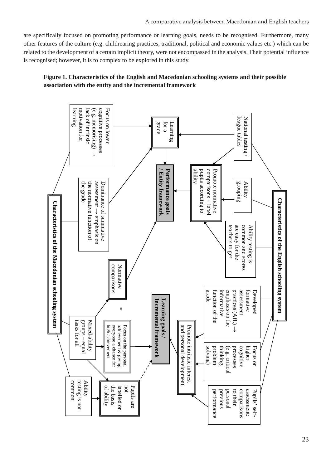are specifically focused on promoting performance or learning goals, needs to be recognised. Furthermore, many other features of the culture (e.g. childrearing practices, traditional, political and economic values etc.) which can be related to the development of a certain implicit theory, were not encompassed in the analysis. Their potential influence is recognised; however, it is to complex to be explored in this study.

### **Figure 1. Characteristics of the English and Macedonian schooling systems and their possible association with the entity and the incremental framework**

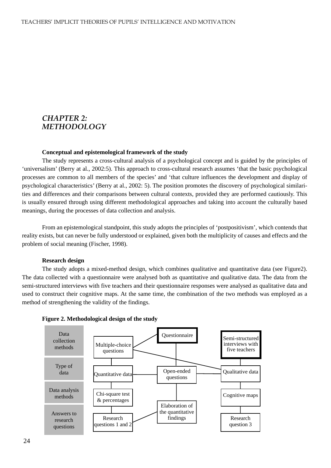### *CHAPTER 2: METHODOLOGY*

#### **Conceptual and epistemological framework of the study**

 The study represents a cross-cultural analysis of a psychological concept and is guided by the principles of 'universalism' (Berry at al., 2002:5). This approach to cross-cultural research assumes 'that the basic psychological processes are common to all members of the species' and 'that culture influences the development and display of psychological characteristics' (Berry at al., 2002: 5). The position promotes the discovery of psychological similarities and differences and their comparisons between cultural contexts, provided they are performed cautiously. This is usually ensured through using different methodological approaches and taking into account the culturally based meanings, during the processes of data collection and analysis.

 From an epistemological standpoint, this study adopts the principles of 'postpositivism', which contends that reality exists, but can never be fully understood or explained, given both the multiplicity of causes and effects and the problem of social meaning (Fischer, 1998).

#### **Research design**

 The study adopts a mixed-method design, which combines qualitative and quantitative data (see Figure2). The data collected with a questionnaire were analysed both as quantitative and qualitative data. The data from the semi-structured interviews with five teachers and their questionnaire responses were analysed as qualitative data and used to construct their cognitive maps. At the same time, the combination of the two methods was employed as a method of strengthening the validity of the findings.



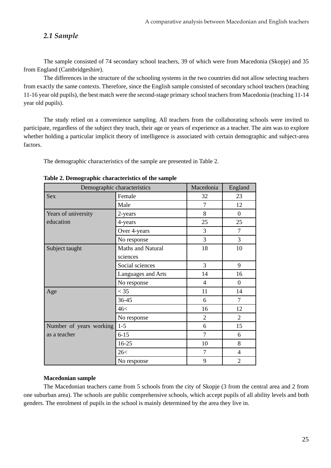### *2.1 Sample*

 The sample consisted of 74 secondary school teachers, 39 of which were from Macedonia (Skopje) and 35 from England (Cambridgeshire).

 The differences in the structure of the schooling systems in the two countries did not allow selecting teachers from exactly the same contexts. Therefore, since the English sample consisted of secondary school teachers (teaching 11-16 year old pupils), the best match were the second-stage primary school teachers from Macedonia (teaching 11-14 year old pupils).

 The study relied on a convenience sampling. All teachers from the collaborating schools were invited to participate, regardless of the subject they teach, their age or years of experience as a teacher. The aim was to explore whether holding a particular implicit theory of intelligence is associated with certain demographic and subject-area factors.

The demographic characteristics of the sample are presented in Table 2.

| Demographic characteristics | Macedonia          | England        |                |
|-----------------------------|--------------------|----------------|----------------|
| <b>Sex</b>                  | Female             | 32             | 23             |
|                             | Male               | 7              | 12             |
| Years of university         | 2-years            | 8              | $\theta$       |
| education                   | 4-years            | 25             | 25             |
|                             | Over 4-years       | 3              | 7              |
|                             | No response        | 3              | 3              |
| Subject taught              | Maths and Natural  | 18             | 10             |
|                             | sciences           |                |                |
|                             | Social sciences    | 3              | 9              |
|                             | Languages and Arts | 14             | 16             |
|                             | No response        | 4              | $\theta$       |
| Age                         | $<$ 35             | 11             | 14             |
|                             | 36-45              | 6              | $\overline{7}$ |
|                             | 46<                | 16             | 12             |
|                             | No response        | $\overline{2}$ | $\overline{2}$ |
| Number of years working     | $1 - 5$            | 6              | 15             |
| as a teacher                | $6 - 15$           | $\overline{7}$ | 6              |
|                             | $16-25$            | 10             | 8              |
|                             | 26<                | 7              | 4              |
|                             | No response        | 9              | $\overline{2}$ |

### **Table 2. Demographic characteristics of the sample**

### **Macedonian sample**

 The Macedonian teachers came from 5 schools from the city of Skopje (3 from the central area and 2 from one suburban area). The schools are public comprehensive schools, which accept pupils of all ability levels and both genders. The enrolment of pupils in the school is mainly determined by the area they live in.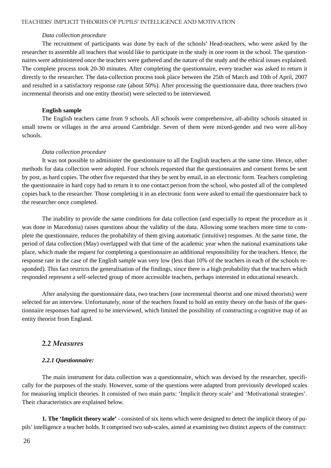#### *Data collection procedure*

 The recruitment of participants was done by each of the schools' Head-teachers, who were asked by the researcher to assemble all teachers that would like to participate in the study in one room in the school. The questionnaires were administered once the teachers were gathered and the nature of the study and the ethical issues explained. The complete process took 20-30 minutes. After completing the questionnaire, every teacher was asked to return it directly to the researcher. The data-collection process took place between the 25th of March and 10th of April, 2007 and resulted in a satisfactory response rate (about 50%). After processing the questionnaire data, three teachers (two incremental theorists and one entity theorist) were selected to be interviewed.

#### **English sample**

 The English teachers came from 9 schools. All schools were comprehensive, all-ability schools situated in small towns or villages in the area around Cambridge. Seven of them were mixed-gender and two were all-boy schools.

#### *Data collection procedure*

 It was not possible to administer the questionnaire to all the English teachers at the same time. Hence, other methods for data collection were adopted. Four schools requested that the questionnaires and consent forms be sent by post, as hard copies. The other five requested that they be sent by email, in an electronic form. Teachers completing the questionnaire in hard copy had to return it to one contact person from the school, who posted all of the completed copies back to the researcher. Those completing it in an electronic form were asked to email the questionnaire back to the researcher once completed.

 The inability to provide the same conditions for data collection (and especially to repeat the procedure as it was done in Macedonia) raises questions about the validity of the data. Allowing some teachers more time to complete the questionnaire, reduces the probability of them giving automatic (intuitive) responses. At the same time, the period of data collection (May) overlapped with that time of the academic year when the national examinations take place, which made the request for completing a questionnaire an additional responsibility for the teachers. Hence, the response rate in the case of the English sample was very low (less than 10% of the teachers in each of the schools responded). This fact restricts the generalisation of the findings, since there is a high probability that the teachers which responded represent a self-selected group of more accessible teachers, perhaps interested in educational research.

 After analysing the questionnaire data, two teachers (one incremental theorist and one mixed theorists) were selected for an interview. Unfortunately, none of the teachers found to hold an entity theory on the basis of the questionnaire responses had agreed to be interviewed, which limited the possibility of constructing a cognitive map of an entity theorist from England.

### *2.2 Measures*

#### *2.2.1 Questionnaire:*

 The main instrument for data collection was a questionnaire, which was devised by the researcher, specifically for the purposes of the study. However, some of the questions were adapted from previously developed scales for measuring implicit theories. It consisted of two main parts: 'Implicit theory scale' and 'Motivational strategies'. Their characteristics are explained below.

**1. The 'Implicit theory scale'** - consisted of six items which were designed to detect the implicit theory of pupils' intelligence a teacher holds. It comprised two sub-scales, aimed at examining two distinct aspects of the construct: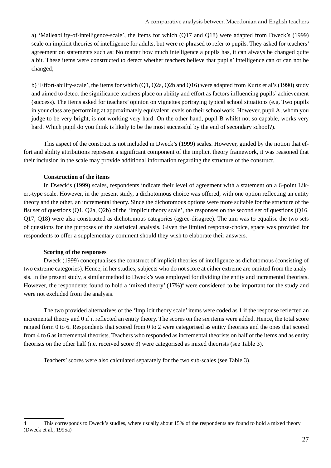a) 'Malleability-of-intelligence-scale', the items for which (Q17 and Q18) were adapted from Dweck's (1999) scale on implicit theories of intelligence for adults, but were re-phrased to refer to pupils. They asked for teachers' agreement on statements such as: No matter how much intelligence a pupils has, it can always be changed quite a bit. These items were constructed to detect whether teachers believe that pupils' intelligence can or can not be changed;

b) 'Effort-ability-scale', the items for which (Q1, Q2a, Q2b and Q16) were adapted from Kurtz et al's (1990) study and aimed to detect the significance teachers place on ability and effort as factors influencing pupils' achievement (success). The items asked for teachers' opinion on vignettes portraying typical school situations (e.g. Two pupils in your class are performing at approximately equivalent levels on their schoolwork. However, pupil A, whom you judge to be very bright, is not working very hard. On the other hand, pupil B whilst not so capable, works very hard. Which pupil do you think is likely to be the most successful by the end of secondary school?).

 This aspect of the construct is not included in Dweck's (1999) scales. However, guided by the notion that effort and ability attributions represent a significant component of the implicit theory framework, it was reasoned that their inclusion in the scale may provide additional information regarding the structure of the construct.

### **Construction of the items**

 In Dweck's (1999) scales, respondents indicate their level of agreement with a statement on a 6-point Likert-type scale. However, in the present study, a dichotomous choice was offered, with one option reflecting an entity theory and the other, an incremental theory. Since the dichotomous options were more suitable for the structure of the fist set of questions (Q1, Q2a, Q2b) of the 'Implicit theory scale', the responses on the second set of questions (Q16, Q17, Q18) were also constructed as dichotomous categories (agree-disagree). The aim was to equalise the two sets of questions for the purposes of the statistical analysis. Given the limited response-choice, space was provided for respondents to offer a supplementary comment should they wish to elaborate their answers.

### **Scoring of the responses**

 Dweck (1999) conceptualises the construct of implicit theories of intelligence as dichotomous (consisting of two extreme categories). Hence, in her studies, subjects who do not score at either extreme are omitted from the analysis. In the present study, a similar method to Dweck's was employed for dividing the entity and incremental theorists. However, the respondents found to hold a 'mixed theory' (17%)<sup>4</sup> were considered to be important for the study and were not excluded from the analysis.

 The two provided alternatives of the 'Implicit theory scale' items were coded as 1 if the response reflected an incremental theory and 0 if it reflected an entity theory. The scores on the six items were added. Hence, the total score ranged form 0 to 6. Respondents that scored from 0 to 2 were categorised as entity theorists and the ones that scored from 4 to 6 as incremental theorists. Teachers who responded as incremental theorists on half of the items and as entity theorists on the other half (i.e. received score 3) were categorised as mixed theorists (see Table 3).

Teachers' scores were also calculated separately for the two sub-scales (see Table 3).

<sup>4</sup> This corresponds to Dweck's studies, where usually about 15% of the respondents are found to hold a mixed theory (Dweck et al., 1995a)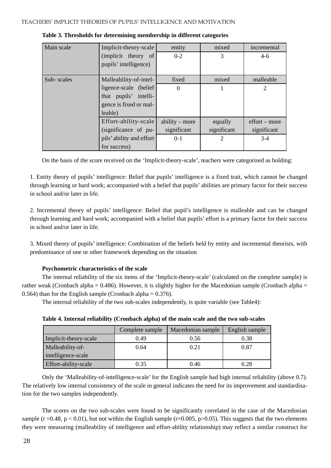| Main scale | Implicit-theory-scale    | entity           | mixed       | incremental                 |
|------------|--------------------------|------------------|-------------|-----------------------------|
|            | (implicit theory of      | $0 - 2$          | 3           | $4-6$                       |
|            | pupils' intelligence)    |                  |             |                             |
|            |                          |                  |             |                             |
| Sub-scales | Malleability-of-intel-   | fixed            | mixed       | malleable                   |
|            | ligence-scale (belief)   | $\theta$         |             | $\overline{2}$              |
|            | that pupils' intelli-    |                  |             |                             |
|            | gence is fixed or mal-   |                  |             |                             |
|            | leable)                  |                  |             |                             |
|            | Effort-ability-scale     | ability $-$ more | equally     | $\text{effort}-\text{more}$ |
|            | (significance of pu-     | significant      | significant | significant                 |
|            | pils' ability and effort | $0-1$            | 2           | $3-4$                       |
|            | for success)             |                  |             |                             |

| Table 3. Thresholds for determining membership in different categories |  |
|------------------------------------------------------------------------|--|
|------------------------------------------------------------------------|--|

On the basis of the score received on the 'Implicit-theory-scale', teachers were categorised as holding:

1. Entity theory of pupils' intelligence: Belief that pupils' intelligence is a fixed trait, which cannot be changed through learning or hard work; accompanied with a belief that pupils' abilities are primary factor for their success in school and/or later in life.

2. Incremental theory of pupils' intelligence: Belief that pupil's intelligence is malleable and can be changed through learning and hard work; accompanied with a belief that pupils' effort is a primary factor for their success in school and/or later in life.

3. Mixed theory of pupils' intelligence: Combination of the beliefs held by entity and incremental theorists, with predominance of one or other framework depending on the situation

### **Psychometric characteristics of the scale**

 The internal reliability of the six items of the 'Implicit-theory-scale' (calculated on the complete sample) is rather weak (Cronbach alpha = 0.486). However, it is slightly higher for the Macedonian sample (Cronbach alpha = 0.564) than for the English sample (Cronbach alpha =  $0.376$ ).

The internal reliability of the two sub-scales independently, is quite variable (see Table4):

|                       | Complete sample | Macedonian sample | English sample |
|-----------------------|-----------------|-------------------|----------------|
| Implicit-theory-scale | 0.49            | 0.56              | 0.38           |
| Malleability-of-      | 0.64            | 0.21              | 0.87           |
| intelligence-scale    |                 |                   |                |
| Effort-ability-scale  | 0.35            | 0.46              | 0.28           |

 Only the 'Malleability-of-intelligence-scale' for the English sample had high internal reliability (above 0.7). The relatively low internal consistency of the scale in general indicates the need for its improvement and standardisation for the two samples independently.

 The scores on the two sub-scales were found to be significantly correlated in the case of the Macedonian sample ( $r = 0.48$ ,  $p < 0.01$ ), but not within the English sample ( $r = 0.005$ ,  $p > 0.05$ ). This suggests that the two elements they were measuring (malleability of intelligence and effort-ability relationship) may reflect a similar construct for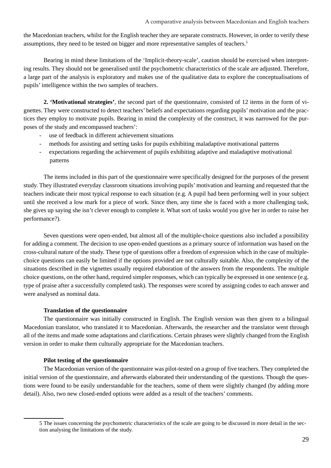the Macedonian teachers, whilst for the English teacher they are separate constructs. However, in order to verify these assumptions, they need to be tested on bigger and more representative samples of teachers.5

 Bearing in mind these limitations of the 'Implicit-theory-scale', caution should be exercised when interpreting results. They should not be generalised until the psychometric characteristics of the scale are adjusted. Therefore, a large part of the analysis is exploratory and makes use of the qualitative data to explore the conceptualisations of pupils' intelligence within the two samples of teachers.

**2. 'Motivational strategies'**, the second part of the questionnaire, consisted of 12 items in the form of vignettes. They were constructed to detect teachers' beliefs and expectations regarding pupils' motivation and the practices they employ to motivate pupils. Bearing in mind the complexity of the construct, it was narrowed for the purposes of the study and encompassed teachers':

- use of feedback in different achievement situations
- methods for assisting and setting tasks for pupils exhibiting maladaptive motivational patterns
- expectations regarding the achievement of pupils exhibiting adaptive and maladaptive motivational patterns

 The items included in this part of the questionnaire were specifically designed for the purposes of the present study. They illustrated everyday classroom situations involving pupils' motivation and learning and requested that the teachers indicate their most typical response to each situation (e.g. A pupil had been performing well in your subject until she received a low mark for a piece of work. Since then, any time she is faced with a more challenging task, she gives up saying she isn't clever enough to complete it. What sort of tasks would you give her in order to raise her performance?).

 Seven questions were open-ended, but almost all of the multiple-choice questions also included a possibility for adding a comment. The decision to use open-ended questions as a primary source of information was based on the cross-cultural nature of the study. These type of questions offer a freedom of expression which in the case of multiplechoice questions can easily be limited if the options provided are not culturally suitable. Also, the complexity of the situations described in the vignettes usually required elaboration of the answers from the respondents. The multiple choice questions, on the other hand, required simpler responses, which can typically be expressed in one sentence (e.g. type of praise after a successfully completed task). The responses were scored by assigning codes to each answer and were analysed as nominal data.

### **Translation of the questionnaire**

 The questionnaire was initially constructed in English. The English version was then given to a bilingual Macedonian translator, who translated it to Macedonian. Afterwards, the researcher and the translator went through all of the items and made some adaptations and clarifications. Certain phrases were slightly changed from the English version in order to make them culturally appropriate for the Macedonian teachers.

### **Pilot testing of the questionnaire**

 The Macedonian version of the questionnaire was pilot-tested on a group of five teachers. They completed the initial version of the questionnaire, and afterwards elaborated their understanding of the questions. Though the questions were found to be easily understandable for the teachers, some of them were slightly changed (by adding more detail). Also, two new closed-ended options were added as a result of the teachers' comments.

<sup>5</sup> The issues concerning the psychometric characteristics of the scale are going to be discussed in more detail in the section analysing the limitations of the study.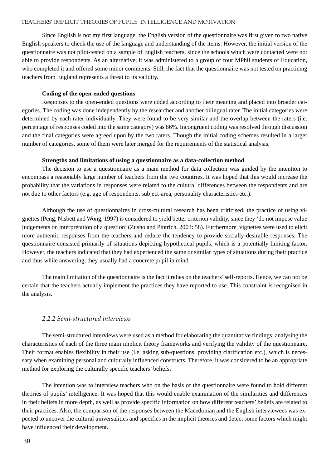Since English is not my first language, the English version of the questionnaire was first given to two native English speakers to check the use of the language and understanding of the items. However, the initial version of the questionnaire was not pilot-tested on a sample of English teachers, since the schools which were contacted were not able to provide respondents. As an alternative, it was administered to a group of four MPhil students of Education, who completed it and offered some minor comments. Still, the fact that the questionnaire was not tested on practicing teachers from England represents a threat to its validity.

### **Coding of the open-ended questions**

 Responses to the open-ended questions were coded according to their meaning and placed into broader categories. The coding was done independently by the researcher and another bilingual rater. The initial categories were determined by each rater individually. They were found to be very similar and the overlap between the raters (i.e. percentage of responses coded into the same category) was 86%. Incongruent coding was resolved through discussion and the final categories were agreed upon by the two raters. Though the initial coding schemes resulted in a larger number of categories, some of them were later merged for the requirements of the statistical analysis.

#### **Strengths and limitations of using a questionnaire as a data-collection method**

 The decision to use a questionnaire as a main method for data collection was guided by the intention to encompass a reasonably large number of teachers from the two countries. It was hoped that this would increase the probability that the variations in responses were related to the cultural differences between the respondents and are not due to other factors (e.g. age of respondents, subject-area, personality characteristics etc.).

 Although the use of questionnaires in cross-cultural research has been criticised, the practice of using vignettes (Peng, Nisbett and Wong, 1997) is considered to yield better criterion validity, since they 'do not impose value judgements on interpretation of a question' (Zusho and Pintrich, 2003: 58). Furthermore, vignettes were used to elicit more authentic responses from the teachers and reduce the tendency to provide socially-desirable responses. The questionnaire consisted primarily of situations depicting hypothetical pupils, which is a potentially limiting factor. However, the teachers indicated that they had experienced the same or similar types of situations during their practice and thus while answering, they usually had a concrete pupil in mind.

 The main limitation of the questionnaire is the fact it relies on the teachers' self-reports. Hence, we can not be certain that the teachers actually implement the practices they have reported to use. This constraint is recognised in the analysis.

### *2.2.2 Semi-structured interviews*

 The semi-structured interviews were used as a method for elaborating the quantitative findings, analysing the characteristics of each of the three main implicit theory frameworks and verifying the validity of the questionnaire. Their format enables flexibility in their use (i.e. asking sub-questions, providing clarification etc.), which is necessary when examining personal and culturally influenced constructs. Therefore, it was considered to be an appropriate method for exploring the culturally specific teachers' beliefs.

 The intention was to interview teachers who on the basis of the questionnaire were found to hold different theories of pupils' intelligence. It was hoped that this would enable examination of the similarities and differences in their beliefs in more depth, as well as provide specific information on how different teachers' beliefs are related to their practices. Also, the comparison of the responses between the Macedonian and the English interviewees was expected to uncover the cultural universalities and specifics in the implicit theories and detect some factors which might have influenced their development.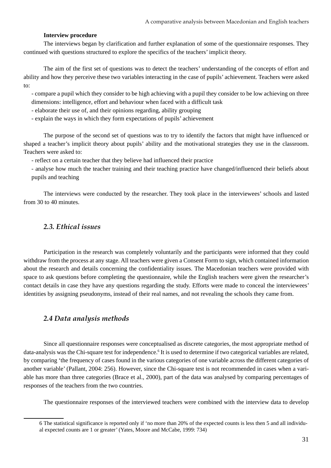### **Interview procedure**

 The interviews began by clarification and further explanation of some of the questionnaire responses. They continued with questions structured to explore the specifics of the teachers' implicit theory.

 The aim of the first set of questions was to detect the teachers' understanding of the concepts of effort and ability and how they perceive these two variables interacting in the case of pupils' achievement. Teachers were asked to:

- compare a pupil which they consider to be high achieving with a pupil they consider to be low achieving on three dimensions: intelligence, effort and behaviour when faced with a difficult task

- elaborate their use of, and their opinions regarding, ability grouping

- explain the ways in which they form expectations of pupils' achievement

 The purpose of the second set of questions was to try to identify the factors that might have influenced or shaped a teacher's implicit theory about pupils' ability and the motivational strategies they use in the classroom. Teachers were asked to:

- reflect on a certain teacher that they believe had influenced their practice

- analyse how much the teacher training and their teaching practice have changed/influenced their beliefs about pupils and teaching

 The interviews were conducted by the researcher. They took place in the interviewees' schools and lasted from 30 to 40 minutes.

### *2.3. Ethical issues*

 Participation in the research was completely voluntarily and the participants were informed that they could withdraw from the process at any stage. All teachers were given a Consent Form to sign, which contained information about the research and details concerning the confidentiality issues. The Macedonian teachers were provided with space to ask questions before completing the questionnaire, while the English teachers were given the researcher's contact details in case they have any questions regarding the study. Efforts were made to conceal the interviewees' identities by assigning pseudonyms, instead of their real names, and not revealing the schools they came from.

### *2.4 Data analysis methods*

 Since all questionnaire responses were conceptualised as discrete categories, the most appropriate method of data-analysis was the Chi-square test for independence.<sup>6</sup> It is used to determine if two categorical variables are related, by comparing 'the frequency of cases found in the various categories of one variable across the different categories of another variable' (Pallant, 2004: 256). However, since the Chi-square test is not recommended in cases when a variable has more than three categories (Brace et al., 2000), part of the data was analysed by comparing percentages of responses of the teachers from the two countries.

The questionnaire responses of the interviewed teachers were combined with the interview data to develop

<sup>6</sup> The statistical significance is reported only if 'no more than 20% of the expected counts is less then 5 and all individual expected counts are 1 or greater' (Yates, Moore and McCabe, 1999: 734)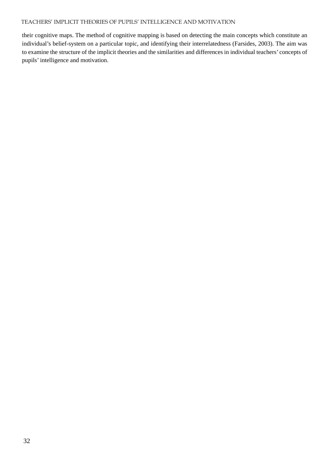their cognitive maps. The method of cognitive mapping is based on detecting the main concepts which constitute an individual's belief-system on a particular topic, and identifying their interrelatedness (Farsides, 2003). The aim was to examine the structure of the implicit theories and the similarities and differences in individual teachers' concepts of pupils' intelligence and motivation.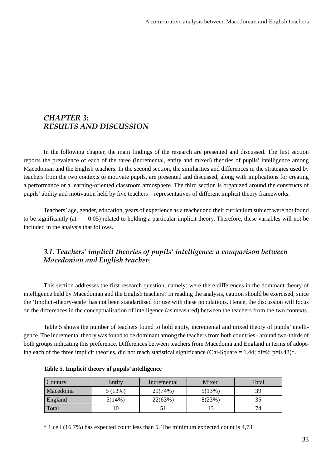### *CHAPTER 3: RESULTS AND DISCUSSION*

 In the following chapter, the main findings of the research are presented and discussed. The first section reports the prevalence of each of the three (incremental, entity and mixed) theories of pupils' intelligence among Macedonian and the English teachers. In the second section, the similarities and differences in the strategies used by teachers from the two contexts to motivate pupils, are presented and discussed, along with implications for creating a performance or a learning-oriented classroom atmosphere. The third section is organized around the constructs of pupils' ability and motivation held by five teachers – representatives of different implicit theory frameworks.

 Teachers' age, gender, education, years of experience as a teacher and their curriculum subject were not found to be significantly (at  $=0.05$ ) related to holding a particular implicit theory. Therefore, these variables will not be included in the analysis that follows.

### *3.1. Teachers' implicit theories of pupils' intelligence: a comparison between Macedonian and English teacher*s

 This section addresses the first research question, namely: were there differences in the dominant theory of intelligence held by Macedonian and the English teachers? In reading the analysis, caution should be exercised, since the 'Implicit-theory-scale' has not been standardised for use with these populations. Hence, the discussion will focus on the differences in the conceptualisation of intelligence (as measured) between the teachers from the two contexts.

 Table 5 shows the number of teachers found to hold entity, incremental and mixed theory of pupils' intelligence. The incremental theory was found to be dominant among the teachers from both countries - around two-thirds of both groups indicating this preference. Differences between teachers from Macedonia and England in terms of adopting each of the three implicit theories, did not reach statistical significance (Chi-Square = 1.44; df=2; p=0.48)\*.

| <b>Country</b> | Entity | Incremental | Mixed  | Total |
|----------------|--------|-------------|--------|-------|
| Macedonia      | 5(13%) | 29(74%)     | 5(13%) | 39    |
| England        | 5(14%) | 22(63%)     | 8(23%) |       |
| Total          |        |             |        | 74    |

\* 1 cell (16,7%) has expected count less than 5. The minimum expected count is 4,73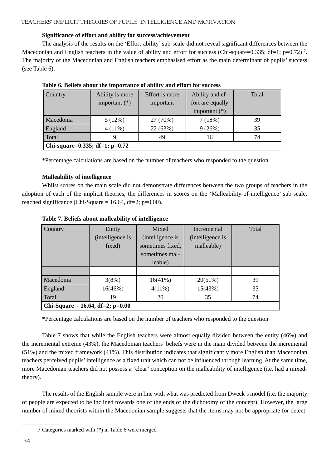### **Significance of effort and ability for success/achievement**

 The analysis of the results on the 'Effort-ability' sub-scale did not reveal significant differences between the Macedonian and English teachers in the value of ability and effort for success (Chi-square=0.335; df=1; p=0.72)<sup>7</sup>. The majority of the Macedonian and English teachers emphasised effort as the main determinant of pupils' success (see Table 6).

| <b>Country</b> | Ability is more                | Effort is more | Ability and ef-  | Total |  |  |  |  |
|----------------|--------------------------------|----------------|------------------|-------|--|--|--|--|
|                | important $(*)$                | important      | fort are equally |       |  |  |  |  |
|                |                                |                | important $(*)$  |       |  |  |  |  |
| Macedonia      | 5(12%)                         | 27 (70%)       | 7(18%)           | 39    |  |  |  |  |
| England        | $4(11\%)$                      | 22 (63%)       | 9(26%)           | 35    |  |  |  |  |
| Total          |                                | 49             | 16               | 74    |  |  |  |  |
|                | Chi-square=0.335; df=1; p=0.72 |                |                  |       |  |  |  |  |

| Table 6. Beliefs about the importance of ability and effort for success |  |  |  |
|-------------------------------------------------------------------------|--|--|--|
|-------------------------------------------------------------------------|--|--|--|

\*Percentage calculations are based on the number of teachers who responded to the question

### **Malleability of intelligence**

 Whilst scores on the main scale did not demonstrate differences between the two groups of teachers in the adoption of each of the implicit theories, the differences in scores on the 'Malleability-of-intelligence' sub-scale, reached significance (Chi-Square = 16.64, df=2; p=0.00).

| Country                            | Entity           | Mixed            | Incremental      | Total |
|------------------------------------|------------------|------------------|------------------|-------|
|                                    | (intelligence is | (intelligence is | (intelligence is |       |
|                                    | fixed)           | sometimes fixed, | malleable)       |       |
|                                    |                  | sometimes mal-   |                  |       |
|                                    |                  | leable)          |                  |       |
|                                    |                  |                  |                  |       |
| Macedonia                          | 3(8%)            | 16(41%)          | 20(51%)          | 39    |
| England                            | 16(46%)          | $4(11\%)$        | 15(43%)          | 35    |
| Total                              | 19               | 20               | 35               | 74    |
| Chi-Square = 16.64, df=2; $p=0.00$ |                  |                  |                  |       |

### **Table 7. Beliefs about malleability of intelligence**

\*Percentage calculations are based on the number of teachers who responded to the question

 Table 7 shows that while the English teachers were almost equally divided between the entity (46%) and the incremental extreme (43%), the Macedonian teachers' beliefs were in the main divided between the incremental (51%) and the mixed framework (41%). This distribution indicates that significantly more English than Macedonian teachers perceived pupils' intelligence as a fixed trait which can not be influenced through learning. At the same time, more Macedonian teachers did not possess a 'clear' conception on the malleability of intelligence (i.e. had a mixedtheory).

 The results of the English sample were in line with what was predicted from Dweck's model (i.e. the majority of people are expected to be inclined towards one of the ends of the dichotomy of the concept). However, the large number of mixed theorists within the Macedonian sample suggests that the items may not be appropriate for detect-

<sup>7</sup> Categories marked with (\*) in Table 6 were merged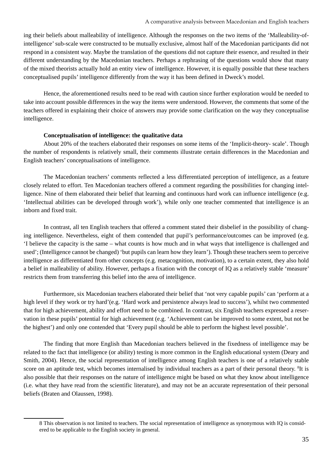ing their beliefs about malleability of intelligence. Although the responses on the two items of the 'Malleability-ofintelligence' sub-scale were constructed to be mutually exclusive, almost half of the Macedonian participants did not respond in a consistent way. Maybe the translation of the questions did not capture their essence, and resulted in their different understanding by the Macedonian teachers. Perhaps a rephrasing of the questions would show that many of the mixed theorists actually hold an entity view of intelligence. However, it is equally possible that these teachers conceptualised pupils' intelligence differently from the way it has been defined in Dweck's model.

 Hence, the aforementioned results need to be read with caution since further exploration would be needed to take into account possible differences in the way the items were understood. However, the comments that some of the teachers offered in explaining their choice of answers may provide some clarification on the way they conceptualise intelligence.

### **Conceptualisation of intelligence: the qualitative data**

 About 20% of the teachers elaborated their responses on some items of the 'Implicit-theory- scale'. Though the number of respondents is relatively small, their comments illustrate certain differences in the Macedonian and English teachers' conceptualisations of intelligence.

 The Macedonian teachers' comments reflected a less differentiated perception of intelligence, as a feature closely related to effort. Ten Macedonian teachers offered a comment regarding the possibilities for changing intelligence. Nine of them elaborated their belief that learning and continuous hard work can influence intelligence (e.g. 'Intellectual abilities can be developed through work'), while only one teacher commented that intelligence is an inborn and fixed trait.

 In contrast, all ten English teachers that offered a comment stated their disbelief in the possibility of changing intelligence. Nevertheless, eight of them contended that pupil's performance/outcomes can be improved (e.g. 'I believe the capacity is the same – what counts is how much and in what ways that intelligence is challenged and used'; (Intelligence cannot be changed) 'but pupils can learn how they learn'). Though these teachers seem to perceive intelligence as differentiated from other concepts (e.g. metacognition, motivation), to a certain extent, they also hold a belief in malleability of ability. However, perhaps a fixation with the concept of IQ as a relatively stable 'measure' restricts them from transferring this belief into the area of intelligence.

 Furthermore, six Macedonian teachers elaborated their belief that 'not very capable pupils' can 'perform at a high level if they work or try hard'(e.g. 'Hard work and persistence always lead to success'), whilst two commented that for high achievement, ability and effort need to be combined. In contrast, six English teachers expressed a reservation in these pupils' potential for high achievement (e.g. 'Achievement can be improved to some extent, but not be the highest') and only one contended that 'Every pupil should be able to perform the highest level possible'.

 The finding that more English than Macedonian teachers believed in the fixedness of intelligence may be related to the fact that intelligence (or ability) testing is more common in the English educational system (Deary and Smith, 2004). Hence, the social representation of intelligence among English teachers is one of a relatively stable score on an aptitude test, which becomes internalised by individual teachers as a part of their personal theory. <sup>8</sup>It is also possible that their responses on the nature of intelligence might be based on what they know about intelligence (i.e. what they have read from the scientific literature), and may not be an accurate representation of their personal beliefs (Braten and Olaussen, 1998).

<sup>8</sup> This observation is not limited to teachers. The social representation of intelligence as synonymous with IQ is considered to be applicable to the English society in general.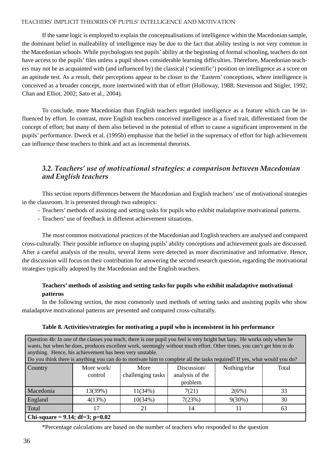If the same logic is employed to explain the conceptualisations of intelligence within the Macedonian sample, the dominant belief in malleability of intelligence may be due to the fact that ability testing is not very common in the Macedonian schools. While psychologists test pupils' ability at the beginning of formal schooling, teachers do not have access to the pupils' files unless a pupil shows considerable learning difficulties. Therefore, Macedonian teachers may not be as acquainted with (and influenced by) the classical ('scientific') position on intelligence as a score on an aptitude test. As a result, their perceptions appear to be closer to the 'Eastern' conceptions, where intelligence is conceived as a broader concept, more intertwined with that of effort (Holloway, 1988; Stevenson and Stigler, 1992; Chan and Elliot, 2002; Sato et al., 2004).

 To conclude, more Macedonian than English teachers regarded intelligence as a feature which can be influenced by effort. In contrast, more English teachers conceived intelligence as a fixed trait, differentiated from the concept of effort; but many of them also believed in the potential of effort to cause a significant improvement in the pupils' performance. Dweck et al. (1995b) emphasise that the belief in the supremacy of effort for high achievement can influence these teachers to think and act as incremental theorists.

### *3.2. Teachers' use of motivational strategies: a comparison between Macedonian and English teachers*

 This section reports differences between the Macedonian and English teachers' use of motivational strategies in the classroom. It is presented through two subtopics:

- Teachers' methods of assisting and setting tasks for pupils who exhibit maladaptive motivational patterns.
- Teachers' use of feedback in different achievement situations.

 The most common motivational practices of the Macedonian and English teachers are analysed and compared cross-culturally. Their possible influence on shaping pupils' ability conceptions and achievement goals are discussed. After a careful analysis of the results, several items were detected as more discriminative and informative. Hence, the discussion will focus on their contribution for answering the second research question, regarding the motivational strategies typically adopted by the Macedonian and the English teachers.

### **Teachers' methods of assisting and setting tasks for pupils who exhibit maladaptive motivational patterns**

 In the following section, the most commonly used methods of setting tasks and assisting pupils who show maladaptive motivational patterns are presented and compared cross-culturally.

| Question 4b: In one of the classes you teach, there is one pupil you feel is very bright but lazy. He works only when he<br>wants, but when he does, produces excellent work, seemingly without much effort. Other times, you can't get him to do<br>anything. Hence, his achievement has been very unstable.<br>Do you think there is anything you can do to motivate him to complete all the tasks required? If yes, what would you do? |                            |                   |                 |              |       |  |  |  |  |  |
|-------------------------------------------------------------------------------------------------------------------------------------------------------------------------------------------------------------------------------------------------------------------------------------------------------------------------------------------------------------------------------------------------------------------------------------------|----------------------------|-------------------|-----------------|--------------|-------|--|--|--|--|--|
| Country                                                                                                                                                                                                                                                                                                                                                                                                                                   | More work/                 | More              | Discussion/     | Nothing/else | Total |  |  |  |  |  |
|                                                                                                                                                                                                                                                                                                                                                                                                                                           | control                    | challenging tasks | analysis of the |              |       |  |  |  |  |  |
|                                                                                                                                                                                                                                                                                                                                                                                                                                           |                            |                   | problem         |              |       |  |  |  |  |  |
| Macedonia                                                                                                                                                                                                                                                                                                                                                                                                                                 | 13(39%)                    | 11(34%)           | 7(21)           | 2(6%)        | 33    |  |  |  |  |  |
| England                                                                                                                                                                                                                                                                                                                                                                                                                                   | 4(13%)                     | 10(34%)           | 7(23%)          | $9(30\%)$    | 30    |  |  |  |  |  |
| Total                                                                                                                                                                                                                                                                                                                                                                                                                                     | 17<br>14<br>63<br>21<br>11 |                   |                 |              |       |  |  |  |  |  |
| Chi-square = $9.14$ ; df=3; p=0.02                                                                                                                                                                                                                                                                                                                                                                                                        |                            |                   |                 |              |       |  |  |  |  |  |

### **Table 8. Activities/strategies for motivating a pupil who is inconsistent in his performance**

\*Percentage calculations are based on the number of teachers who responded to the question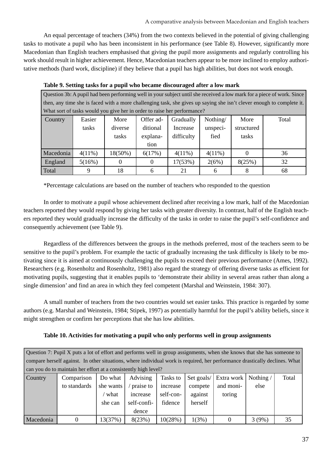An equal percentage of teachers (34%) from the two contexts believed in the potential of giving challenging tasks to motivate a pupil who has been inconsistent in his performance (see Table 8). However, significantly more Macedonian than English teachers emphasised that giving the pupil more assignments and regularly controlling his work should result in higher achievement. Hence, Macedonian teachers appear to be more inclined to employ authoritative methods (hard work, discipline) if they believe that a pupil has high abilities, but does not work enough.

| Question 3b: A pupil had been performing well in your subject until she received a low mark for a piece of work. Since |                                                                                                                       |          |           |                                                                          |           |            |       |  |  |
|------------------------------------------------------------------------------------------------------------------------|-----------------------------------------------------------------------------------------------------------------------|----------|-----------|--------------------------------------------------------------------------|-----------|------------|-------|--|--|
|                                                                                                                        | then, any time she is faced with a more challenging task, she gives up saying she isn't clever enough to complete it. |          |           |                                                                          |           |            |       |  |  |
|                                                                                                                        |                                                                                                                       |          |           | What sort of tasks would you give her in order to raise her performance? |           |            |       |  |  |
| Country                                                                                                                | Easier                                                                                                                | More     | Offer ad- | Gradually                                                                | Nothing/  | More       | Total |  |  |
|                                                                                                                        | tasks                                                                                                                 | diverse  | ditional  | Increase                                                                 | unspeci-  | structured |       |  |  |
|                                                                                                                        |                                                                                                                       | tasks    | explana-  | difficulty                                                               | fied      | tasks      |       |  |  |
|                                                                                                                        |                                                                                                                       |          | tion      |                                                                          |           |            |       |  |  |
| Macedonia                                                                                                              | $4(11\%)$                                                                                                             | 18(50%)  | 6(17%)    | $4(11\%)$                                                                | $4(11\%)$ | $\Omega$   | 36    |  |  |
| England                                                                                                                | 5(16%)                                                                                                                | $\Omega$ | $\theta$  | 17(53%)                                                                  | 2(6%)     | 8(25%)     | 32    |  |  |
| Total                                                                                                                  |                                                                                                                       | 18       |           | 21                                                                       | h         |            | 68    |  |  |

### **Table 9. Setting tasks for a pupil who became discouraged after a low mark**

\*Percentage calculations are based on the number of teachers who responded to the question

 In order to motivate a pupil whose achievement declined after receiving a low mark, half of the Macedonian teachers reported they would respond by giving her tasks with greater diversity. In contrast, half of the English teachers reported they would gradually increase the difficulty of the tasks in order to raise the pupil's self-confidence and consequently achievement (see Table 9).

 Regardless of the differences between the groups in the methods preferred, most of the teachers seem to be sensitive to the pupil's problem. For example the tactic of gradually increasing the task difficulty is likely to be motivating since it is aimed at continuously challenging the pupils to exceed their previous performance (Ames, 1992). Researchers (e.g. Rosenholtz and Rosenholtz, 1981) also regard the strategy of offering diverse tasks as efficient for motivating pupils, suggesting that it enables pupils to 'demonstrate their ability in several areas rather than along a single dimension' and find an area in which they feel competent (Marshal and Weinstein, 1984: 307).

 A small number of teachers from the two countries would set easier tasks. This practice is regarded by some authors (e.g. Marshal and Weinstein, 1984; Stipek, 1997) as potentially harmful for the pupil's ability beliefs, since it might strengthen or confirm her perceptions that she has low abilities.

|  |  | Table 10. Activities for motivating a pupil who only performs well in group assignments |
|--|--|-----------------------------------------------------------------------------------------|
|  |  |                                                                                         |

Question 7: Pupil  $X$  puts a lot of effort and performs well in group assignments, when she knows that she has someone to compare herself against. In other situations, where individual work is required, her performance drastically declines. What can you do to maintain her effort at a consistently high level?

| Country   | Comparison   | Do what   | Advising    |           |         | Tasks to   Set goals/   Extra work   Nothing / |       | Total |
|-----------|--------------|-----------|-------------|-----------|---------|------------------------------------------------|-------|-------|
|           | to standards | she wants | praise to   | increase  | compete | and moni-                                      | else  |       |
|           |              | what      | increase    | self-con- | against | toring                                         |       |       |
|           |              | she can   | self-confi- | fidence   | herself |                                                |       |       |
|           |              |           | dence       |           |         |                                                |       |       |
| Macedonia |              | 13(37%)   | 8(23%)      | 10(28%)   | 1(3%)   |                                                | 3(9%) | 35    |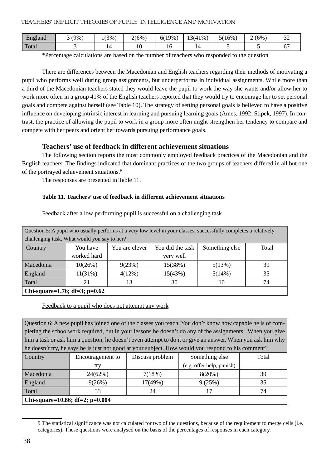| $\overline{\phantom{0}}$<br>England | (9% | $1(3\%)$ | $2(6\%$          | 19%<br>6(19 | $3(41\%)$<br>13(41) | 5(16%) | $(6\%$<br>∽ | $\sim$<br>◡ |
|-------------------------------------|-----|----------|------------------|-------------|---------------------|--------|-------------|-------------|
| Total                               |     |          | $\sqrt{2}$<br>ιv | 1 U         |                     |        |             |             |

\*Percentage calculations are based on the number of teachers who responded to the question

 There are differences between the Macedonian and English teachers regarding their methods of motivating a pupil who performs well during group assignments, but underperforms in individual assignments. While more than a third of the Macedonian teachers stated they would leave the pupil to work the way she wants and/or allow her to work more often in a group 41% of the English teachers reported that they would try to encourage her to set personal goals and compete against herself (see Table 10). The strategy of setting personal goals is believed to have a positive influence on developing intrinsic interest in learning and pursuing learning goals (Ames, 1992; Stipek, 1997). In contrast, the practice of allowing the pupil to work in a group more often might strengthen her tendency to compare and compete with her peers and orient her towards pursuing performance goals.

### **Teachers' use of feedback in different achievement situations**

 The following section reports the most commonly employed feedback practices of the Macedonian and the English teachers. The findings indicated that dominant practices of the two groups of teachers differed in all but one of the portrayed achievement situations.9

The responses are presented in Table 11.

### **Table 11. Teachers' use of feedback in different achievement situations**

| Question 5: A pupil who usually performs at a very low level in your classes, successfully completes a relatively |                                              |                |                  |                |       |  |  |  |  |
|-------------------------------------------------------------------------------------------------------------------|----------------------------------------------|----------------|------------------|----------------|-------|--|--|--|--|
|                                                                                                                   | challenging task. What would you say to her? |                |                  |                |       |  |  |  |  |
| Country                                                                                                           | You have                                     | You are clever | You did the task | Something else | Total |  |  |  |  |
|                                                                                                                   | worked hard<br>very well                     |                |                  |                |       |  |  |  |  |
| Macedonia                                                                                                         | 10(26%)                                      | 9(23%)         | 15(38%)          | 5(13%)         | 39    |  |  |  |  |
| England                                                                                                           | $11(31\%)$                                   | $4(12\%)$      | 15(43%)          | 5(14%)         | 35    |  |  |  |  |
| Total<br>30<br>13<br>74<br>21<br>10                                                                               |                                              |                |                  |                |       |  |  |  |  |
| Chi-square=1.76; df=3; p=0.62                                                                                     |                                              |                |                  |                |       |  |  |  |  |

Feedback after a low performing pupil is successful on a challenging task

### Feedback to a pupil who does not attempt any work

Question 6: A new pupil has joined one of the classes you teach. You don't know how capable he is of completing the schoolwork required, but in your lessons he doesn't do any of the assignments. When you give him a task or ask him a question, he doesn't even attempt to do it or give an answer. When you ask him why he doesn't try, he says he is just not good at your subject. How would you respond to his comment?

| <b>Country</b>                    | Encouragement to | Discuss problem | Something else            | Total |
|-----------------------------------|------------------|-----------------|---------------------------|-------|
|                                   | try              |                 | (e.g. offer help, punish) |       |
| Macedonia                         | 24(62%)          | 7(18%)          | 8(20%)                    | 39    |
| England                           | 9(26%)           | 17(49%)         | 9(25%)                    | 35    |
| Total                             | 33               | 24              |                           | 74    |
| Chi-square=10.86; df=2; $p=0.004$ |                  |                 |                           |       |

<sup>9</sup> The statistical significance was not calculated for two of the questions, because of the requirement to merge cells (i.e. categories). These questions were analysed on the basis of the percentages of responses in each category.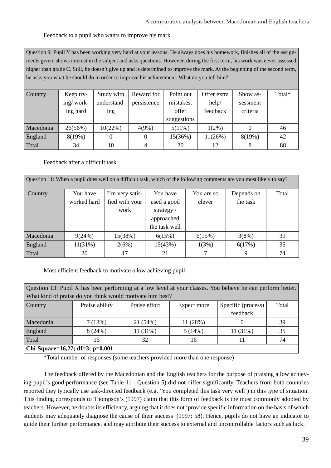### Feedback to a pupil who wants to improve his mark

Question 9: Pupil Y has been working very hard at your lessons. He always does his homework, finishes all of the assignments given, shows interest in the subject and asks questions. However, during the first term, his work was never assessed higher than grade C. Still, he doesn't give up and is determined to improve the mark. At the beginning of the second term, he asks you what he should do in order to improve his achievement. What do you tell him?

| Country        | Keep try- | Study with  | Reward for  | Point out   | Offer extra | Show as- | Total* |
|----------------|-----------|-------------|-------------|-------------|-------------|----------|--------|
|                | ing/work- | understand- | persistence | mistakes,   | help/       | sessment |        |
|                | ing hard  | ing         |             | offer       | feedback    | criteria |        |
|                |           |             |             | suggestions |             |          |        |
| Macedonia      | 26(56%)   | 10(22%)     | 4(9%)       | $5(11\%)$   | $1(2\%)$    |          | 46     |
| <b>England</b> | 8(19%)    |             |             | 15(36%)     | $11(26\%)$  | 8(19%)   | 42     |
| Total          | 34        | 10          |             | 20          | 12          |          | 88     |

### Feedback after a difficult task

Question 11: When a pupil does well on a difficult task, which of the following comments are you most likely to say? Country You have worked hard I'm very satisfied with your work You have used a good strategy / approached the task well You are so clever Depends on the task Total Macedonia | 9(24%) | 15(38%) | 6(15%) | 6(15%) | 3(8%) | 39 England 11(31%) 2(6%) 15(43%) 1(3%) 6(17%) 35 Total | 20 | 17 | 21 | 7 | 9 | 74

Most efficient feedback to motivate a low achieving pupil

| Question 13: Pupil X has been performing at a low level at your classes. You believe he can perform better. |                                                           |               |             |                    |       |  |  |  |  |  |
|-------------------------------------------------------------------------------------------------------------|-----------------------------------------------------------|---------------|-------------|--------------------|-------|--|--|--|--|--|
|                                                                                                             | What kind of praise do you think would motivate him best? |               |             |                    |       |  |  |  |  |  |
| Country                                                                                                     | Praise ability                                            | Praise effort | Expect more | Specific (process) | Total |  |  |  |  |  |
|                                                                                                             |                                                           | feedback      |             |                    |       |  |  |  |  |  |
| Macedonia                                                                                                   | 7(18%)                                                    | 21 (54%)      | 11 (28%)    |                    | 39    |  |  |  |  |  |
| England                                                                                                     | 8(24%)                                                    | $11(31\%)$    | 5(14%)      | $11(31\%)$         | 35    |  |  |  |  |  |
| Total<br>32<br>74<br>15<br>16                                                                               |                                                           |               |             |                    |       |  |  |  |  |  |
| Chi-Square=16,27; df=3; p=0.001                                                                             |                                                           |               |             |                    |       |  |  |  |  |  |

\*Total number of responses (some teachers provided more than one response)

 The feedback offered by the Macedonian and the English teachers for the purpose of praising a low achieving pupil's good performance (see Table 11 - Question 5) did not differ significantly. Teachers from both countries reported they typically use task-directed feedback (e.g. 'You completed this task very well') in this type of situation. This finding corresponds to Thompson's (1997) claim that this form of feedback is the most commonly adopted by teachers. However, he doubts its efficiency, arguing that it does not 'provide specific information on the basis of which students may adequately diagnose the cause of their success' (1997: 58). Hence, pupils do not have an indicator to guide their further performance, and may attribute their success to external and uncontrollable factors such as luck.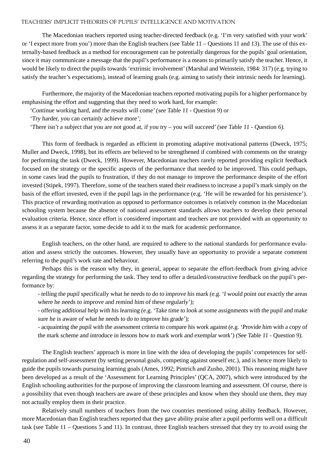The Macedonian teachers reported using teacher-directed feedback (e.g. 'I'm very satisfied with your work' or 'I expect more from you') more than the English teachers (see Table 11 – Questions 11 and 13). The use of this externally-based feedback as a method for encouragement can be potentially dangerous for the pupils' goal orientation, since it may communicate a message that the pupil's performance is a means to primarily satisfy the teacher. Hence, it would be likely to direct the pupils towards 'extrinsic involvement' (Marshal and Weinstein, 1984: 317) (e.g. trying to satisfy the teacher's expectations), instead of learning goals (e.g. aiming to satisfy their intrinsic needs for learning).

 Furthermore, the majority of the Macedonian teachers reported motivating pupils for a higher performance by emphasising the effort and suggesting that they need to work hard, for example:

'Continue working hard, and the results will come' (see Table 11 - Question 9) or

'Try harder, you can certainly achieve more';

'There isn't a subject that you are not good at, if you try – you will succeed' (see Table 11 - Question 6).

 This form of feedback is regarded as efficient in promoting adaptive motivational patterns (Dweck, 1975; Muller and Dweck, 1998), but its effects are believed to be strengthened if combined with comments on the strategy for performing the task (Dweck, 1999). However, Macedonian teachers rarely reported providing explicit feedback focused on the strategy or the specific aspects of the performance that needed to be improved. This could perhaps, in some cases lead the pupils to frustration, if they do not manage to improve the performance despite of the effort invested (Stipek, 1997). Therefore, some of the teachers stated their readiness to increase a pupil's mark simply on the basis of the effort invested, even if the pupil lags in the performance (e.g. 'He will be rewarded for his persistence'). This practice of rewarding motivation as opposed to performance outcomes is relatively common in the Macedonian schooling system because the absence of national assessment standards allows teachers to develop their personal evaluation criteria. Hence, since effort is considered important and teachers are not provided with an opportunity to assess it as a separate factor, some decide to add it to the mark for academic performance.

 English teachers, on the other hand, are required to adhere to the national standards for performance evaluation and assess strictly the outcomes. However, they usually have an opportunity to provide a separate comment referring to the pupil's work rate and behaviour.

 Perhaps this is the reason why they, in general, appear to separate the effort-feedback from giving advice regarding the strategy for performing the task. They tend to offer a detailed/constructive feedback on the pupil's performance by:

- telling the pupil specifically what he needs to do to improve his mark (e.g. 'I would point out exactly the areas where he needs to improve and remind him of these regularly');

- offering additional help with his learning (e.g. 'Take time to look at some assignments with the pupil and make sure he is aware of what he needs to do to improve his grade');

- acquainting the pupil with the assessment criteria to compare his work against (e.g. 'Provide him with a copy of the mark scheme and introduce in lessons how to mark work and exemplar work') (See Table 11 - Question 9).

 The English teachers' approach is more in line with the idea of developing the pupils' competences for selfregulation and self-assessment (by setting personal goals, competing against oneself etc.), and is hence more likely to guide the pupils towards pursuing learning goals (Ames, 1992; Pintrich and Zusho, 2001). This reasoning might have been developed as a result of the 'Assessment for Learning Principles' (QCA, 2007), which were introduced by the English schooling authorities for the purpose of improving the classroom learning and assessment. Of course, there is a possibility that even though teachers are aware of these principles and know when they should use them, they may not actually employ them in their practice.

 Relatively small numbers of teachers from the two countries mentioned using ability feedback. However, more Macedonian than English teachers reported that they gave ability praise after a pupil performs well on a difficult task (see Table 11 – Questions 5 and 11). In contrast, three English teachers stressed that they try to avoid using the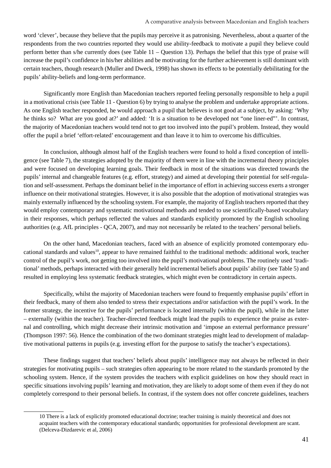word 'clever', because they believe that the pupils may perceive it as patronising. Nevertheless, about a quarter of the respondents from the two countries reported they would use ability-feedback to motivate a pupil they believe could perform better than s/he currently does (see Table 11 – Question 13). Perhaps the belief that this type of praise will increase the pupil's confidence in his/her abilities and be motivating for the further achievement is still dominant with certain teachers, though research (Muller and Dweck, 1998) has shown its effects to be potentially debilitating for the pupils' ability-beliefs and long-term performance.

 Significantly more English than Macedonian teachers reported feeling personally responsible to help a pupil in a motivational crisis (see Table 11 - Question 6) by trying to analyse the problem and undertake appropriate actions. As one English teacher responded, he would approach a pupil that believes is not good at a subject, by asking: 'Why he thinks so? What are you good at?' and added: 'It is a situation to be developed not "one liner-ed"'. In contrast, the majority of Macedonian teachers would tend not to get too involved into the pupil's problem. Instead, they would offer the pupil a brief 'effort-related' encouragement and than leave it to him to overcome his difficulties.

 In conclusion, although almost half of the English teachers were found to hold a fixed conception of intelligence (see Table 7), the strategies adopted by the majority of them were in line with the incremental theory principles and were focused on developing learning goals. Their feedback in most of the situations was directed towards the pupils' internal and changeable features (e.g. effort, strategy) and aimed at developing their potential for self-regulation and self-assessment. Perhaps the dominant belief in the importance of effort in achieving success exerts a stronger influence on their motivational strategies. However, it is also possible that the adoption of motivational strategies was mainly externally influenced by the schooling system. For example, the majority of English teachers reported that they would employ contemporary and systematic motivational methods and tended to use scientifically-based vocabulary in their responses, which perhaps reflected the values and standards explicitly promoted by the English schooling authorities (e.g. AfL principles - QCA, 2007), and may not necessarily be related to the teachers' personal beliefs.

 On the other hand, Macedonian teachers, faced with an absence of explicitly promoted contemporary educational standards and values<sup>10</sup>, appear to have remained faithful to the traditional methods: additional work, teacher control of the pupil's work, not getting too involved into the pupil's motivational problems. The routinely used 'traditional' methods, perhaps interacted with their generally held incremental beliefs about pupils' ability (see Table 5) and resulted in employing less systematic feedback strategies, which might even be contradictory in certain aspects.

 Specifically, whilst the majority of Macedonian teachers were found to frequently emphasise pupils' effort in their feedback, many of them also tended to stress their expectations and/or satisfaction with the pupil's work. In the former strategy, the incentive for the pupils' performance is located internally (within the pupil), while in the latter – externally (within the teacher). Teacher-directed feedback might lead the pupils to experience the praise as external and controlling, which might decrease their intrinsic motivation and 'impose an external performance pressure' (Thompson 1997: 56). Hence the combination of the two dominant strategies might lead to development of maladaptive motivational patterns in pupils (e.g. investing effort for the purpose to satisfy the teacher's expectations).

 These findings suggest that teachers' beliefs about pupils' intelligence may not always be reflected in their strategies for motivating pupils – such strategies often appearing to be more related to the standards promoted by the schooling system. Hence, if the system provides the teachers with explicit guidelines on how they should react in specific situations involving pupils' learning and motivation, they are likely to adopt some of them even if they do not completely correspond to their personal beliefs. In contrast, if the system does not offer concrete guidelines, teachers

<sup>10</sup> There is a lack of explicitly promoted educational doctrine; teacher training is mainly theoretical and does not acquaint teachers with the contemporary educational standards; opportunities for professional development are scant. (Delceva-Dizdarevic et al, 2006)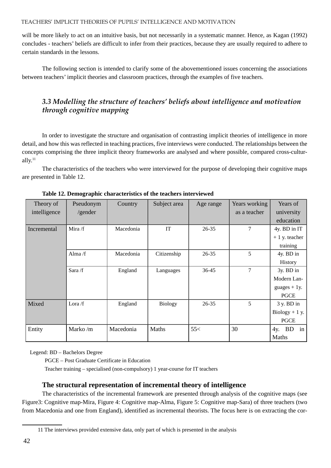will be more likely to act on an intuitive basis, but not necessarily in a systematic manner. Hence, as Kagan (1992) concludes - teachers' beliefs are difficult to infer from their practices, because they are usually required to adhere to certain standards in the lessons.

 The following section is intended to clarify some of the abovementioned issues concerning the associations between teachers' implicit theories and classroom practices, through the examples of five teachers.

### *3.3 Modelling the structure of teachers' beliefs about intelligence and motivation through cognitive mapping*

 In order to investigate the structure and organisation of contrasting implicit theories of intelligence in more detail, and how this was reflected in teaching practices, five interviews were conducted. The relationships between the concepts comprising the three implicit theory frameworks are analysed and where possible, compared cross-culturally. $11$ 

 The characteristics of the teachers who were interviewed for the purpose of developing their cognitive maps are presented in Table 12.

| Theory of    | Pseudonym | Country   | Subject area   | Age range | Years working | Years of         |
|--------------|-----------|-----------|----------------|-----------|---------------|------------------|
| intelligence | /gender   |           |                |           | as a teacher  | university       |
|              |           |           |                |           |               | education        |
| Incremental  | Mira $/f$ | Macedonia | IT             | $26 - 35$ | 7             | 4y. BD in IT     |
|              |           |           |                |           |               | $+1$ y. teacher  |
|              |           |           |                |           |               | training         |
|              | Alma $/f$ | Macedonia | Citizenship    | 26-35     | 5             | 4y. BD in        |
|              |           |           |                |           |               | History          |
|              | Sara $/f$ | England   | Languages      | 36-45     | 7             | 3y. BD in        |
|              |           |           |                |           |               | Modern Lan-      |
|              |           |           |                |           |               | guages $+1y$ .   |
|              |           |           |                |           |               | <b>PGCE</b>      |
| Mixed        | Lora $/f$ | England   | <b>Biology</b> | $26 - 35$ | 5             | 3 y. BD in       |
|              |           |           |                |           |               | $Biology + 1 y.$ |
|              |           |           |                |           |               | <b>PGCE</b>      |
| Entity       | Marko/m   | Macedonia | Maths          | 55<       | 30            | $4y.$ BD<br>in   |
|              |           |           |                |           |               | Maths            |

 **Table 12. Demographic characteristics of the teachers interviewed**

Legend: BD – Bachelors Degree

PGCE – Post Graduate Certificate in Education

Teacher training – specialised (non-compulsory) 1 year-course for IT teachers

### **The structural representation of incremental theory of intelligence**

 The characteristics of the incremental framework are presented through analysis of the cognitive maps (see Figure3: Cognitive map-Mira, Figure 4: Cognitive map-Alma, Figure 5: Cognitive map-Sara) of three teachers (two from Macedonia and one from England), identified as incremental theorists. The focus here is on extracting the cor-

<sup>11</sup> The interviews provided extensive data, only part of which is presented in the analysis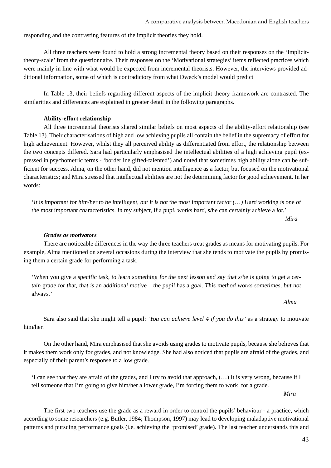responding and the contrasting features of the implicit theories they hold.

 All three teachers were found to hold a strong incremental theory based on their responses on the 'Implicittheory-scale' from the questionnaire. Their responses on the 'Motivational strategies' items reflected practices which were mainly in line with what would be expected from incremental theorists. However, the interviews provided additional information, some of which is contradictory from what Dweck's model would predict

 In Table 13, their beliefs regarding different aspects of the implicit theory framework are contrasted. The similarities and differences are explained in greater detail in the following paragraphs.

### **Ability-effort relationship**

 All three incremental theorists shared similar beliefs on most aspects of the ability-effort relationship (see Table 13). Their characterisations of high and low achieving pupils all contain the belief in the supremacy of effort for high achievement. However, whilst they all perceived ability as differentiated from effort, the relationship between the two concepts differed. Sara had particularly emphasised the intellectual abilities of a high achieving pupil (expressed in psychometric terms - 'borderline gifted-talented') and noted that sometimes high ability alone can be sufficient for success. Alma, on the other hand, did not mention intelligence as a factor, but focused on the motivational characteristics; and Mira stressed that intellectual abilities are not the determining factor for good achievement. In her words:

'It is important for him/her to be intelligent, but it is not the most important factor  $(...)$  Hard working is one of the most important characteristics. In my subject, if a pupil works hard, s/he can certainly achieve a lot.'

```
 Mira
```
### *Grades as motivators*

 There are noticeable differences in the way the three teachers treat grades as means for motivating pupils. For example, Alma mentioned on several occasions during the interview that she tends to motivate the pupils by promising them a certain grade for performing a task.

'When you give a specific task, to learn something for the next lesson and say that s/he is going to get a certain grade for that, that is an additional motive – the pupil has a goal. This method works sometimes, but not always.'

 *Alma*

 Sara also said that she might tell a pupil: *'You can achieve level 4 if you do this'* as a strategy to motivate him/her.

 On the other hand, Mira emphasised that she avoids using grades to motivate pupils, because she believes that it makes them work only for grades, and not knowledge. She had also noticed that pupils are afraid of the grades, and especially of their parent's response to a low grade.

'I can see that they are afraid of the grades, and I try to avoid that approach, (…) It is very wrong, because if I tell someone that I'm going to give him/her a lower grade, I'm forcing them to work for a grade.

 *Mira*

 The first two teachers use the grade as a reward in order to control the pupils' behaviour - a practice, which according to some researchers (e.g. Butler, 1984; Thompson, 1997) may lead to developing maladaptive motivational patterns and pursuing performance goals (i.e. achieving the 'promised' grade). The last teacher understands this and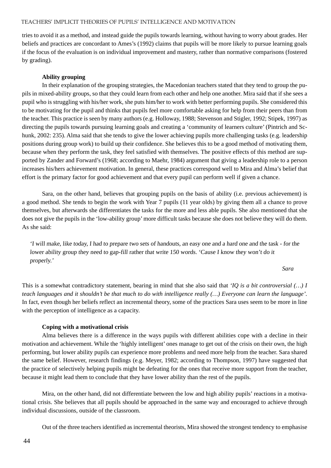tries to avoid it as a method, and instead guide the pupils towards learning, without having to worry about grades. Her beliefs and practices are concordant to Ames's (1992) claims that pupils will be more likely to pursue learning goals if the focus of the evaluation is on individual improvement and mastery, rather than normative comparisons (fostered by grading).

### **Ability grouping**

 In their explanation of the grouping strategies, the Macedonian teachers stated that they tend to group the pupils in mixed-ability groups, so that they could learn from each other and help one another. Mira said that if she sees a pupil who is struggling with his/her work, she puts him/her to work with better performing pupils. She considered this to be motivating for the pupil and thinks that pupils feel more comfortable asking for help from their peers than from the teacher. This practice is seen by many authors (e.g. Holloway, 1988; Stevenson and Stigler, 1992; Stipek, 1997) as directing the pupils towards pursuing learning goals and creating a 'community of learners culture' (Pintrich and Schunk, 2002: 235). Alma said that she tends to give the lower achieving pupils more challenging tasks (e.g. leadership positions during group work) to build up their confidence. She believes this to be a good method of motivating them, because when they perform the task, they feel satisfied with themselves. The positive effects of this method are supported by Zander and Forward's (1968; according to Maehr, 1984) argument that giving a leadership role to a person increases his/hers achievement motivation. In general, these practices correspond well to Mira and Alma's belief that effort is the primary factor for good achievement and that every pupil can perform well if given a chance.

 Sara, on the other hand, believes that grouping pupils on the basis of ability (i.e. previous achievement) is a good method. She tends to begin the work with Year 7 pupils (11 year olds) by giving them all a chance to prove themselves, but afterwards she differentiates the tasks for the more and less able pupils. She also mentioned that she does not give the pupils in the 'low-ability group' more difficult tasks because she does not believe they will do them. As she said:

'I will make, like today, I had to prepare two sets of handouts, an easy one and a hard one and the task - for the lower ability group they need to gap-fill rather that write 150 words. 'Cause I know they won't do it properly.'

 *Sara*

This is a somewhat contradictory statement, bearing in mind that she also said that *'IQ is a bit controversial (…) I teach languages and it shouldn't be that much to do with intelligence really (…) Everyone can learn the language'.* In fact, even though her beliefs reflect an incremental theory, some of the practices Sara uses seem to be more in line with the perception of intelligence as a capacity.

### **Coping with a motivational crisis**

 Alma believes there is a difference in the ways pupils with different abilities cope with a decline in their motivation and achievement. While the 'highly intelligent' ones manage to get out of the crisis on their own, the high performing, but lower ability pupils can experience more problems and need more help from the teacher. Sara shared the same belief. However, research findings (e.g. Meyer, 1982; according to Thompson, 1997) have suggested that the practice of selectively helping pupils might be defeating for the ones that receive more support from the teacher, because it might lead them to conclude that they have lower ability than the rest of the pupils.

 Mira, on the other hand, did not differentiate between the low and high ability pupils' reactions in a motivational crisis. She believes that all pupils should be approached in the same way and encouraged to achieve through individual discussions, outside of the classroom.

Out of the three teachers identified as incremental theorists, Mira showed the strongest tendency to emphasise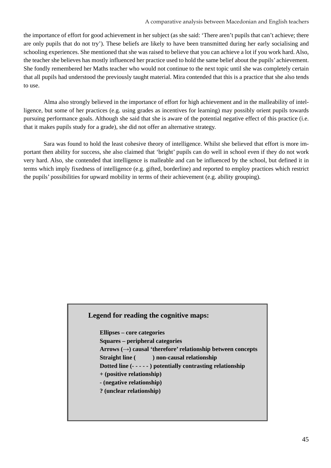the importance of effort for good achievement in her subject (as she said: 'There aren't pupils that can't achieve; there are only pupils that do not try'). These beliefs are likely to have been transmitted during her early socialising and schooling experiences. She mentioned that she was raised to believe that you can achieve a lot if you work hard. Also, the teacher she believes has mostly influenced her practice used to hold the same belief about the pupils' achievement. She fondly remembered her Maths teacher who would not continue to the next topic until she was completely certain that all pupils had understood the previously taught material. Mira contended that this is a practice that she also tends to use.

 Alma also strongly believed in the importance of effort for high achievement and in the malleability of intelligence, but some of her practices (e.g. using grades as incentives for learning) may possibly orient pupils towards pursuing performance goals. Although she said that she is aware of the potential negative effect of this practice (i.e. that it makes pupils study for a grade), she did not offer an alternative strategy.

 Sara was found to hold the least cohesive theory of intelligence. Whilst she believed that effort is more important then ability for success, she also claimed that 'bright' pupils can do well in school even if they do not work very hard. Also, she contended that intelligence is malleable and can be influenced by the school, but defined it in terms which imply fixedness of intelligence (e.g. gifted, borderline) and reported to employ practices which restrict the pupils' possibilities for upward mobility in terms of their achievement (e.g. ability grouping).

### **Legend for reading the cognitive maps:**

**Ellipses – core categories Squares – peripheral categories Arrows (→) causal 'therefore' relationship between concepts Straight line (** ) non-causal relationship **Dotted line (- - - - - ) potentially contrasting relationship + (positive relationship) - (negative relationship) ? (unclear relationship)**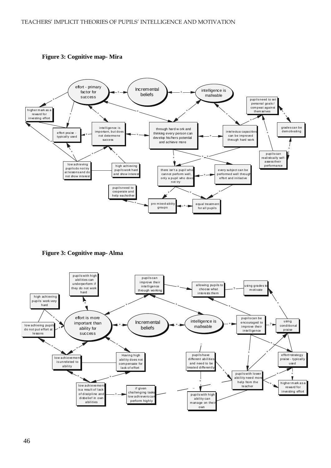

 **Figure 3: Cognitive map- Mira**

 **Figure 3: Cognitive map- Alma**

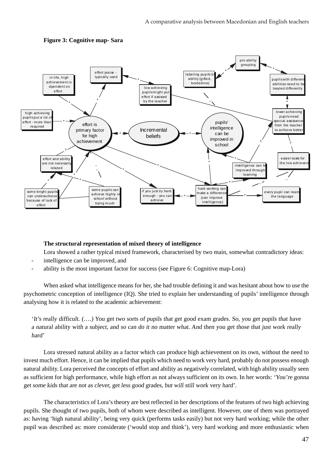

### **Figure 3: Cognitive map- Sara**

### **The structural representation of mixed theory of intelligence**

Lora showed a rather typical mixed framework, characterised by two main, somewhat contradictory ideas:

- intelligence can be improved, and
- ability is the most important factor for success (see Figure 6: Cognitive map-Lora)

 When asked what intelligence means for her, she had trouble defining it and was hesitant about how to use the psychometric conception of intelligence (IQ). She tried to explain her understanding of pupils' intelligence through analysing how it is related to the academic achievement:

'It's really difficult. (….) You get two sorts of pupils that get good exam grades. So, you get pupils that have a natural ability with a subject, and so can do it no matter what. And then you get those that just work really hard'

 Lora stressed natural ability as a factor which can produce high achievement on its own, without the need to invest much effort. Hence, it can be implied that pupils which need to work very hard, probably do not possess enough natural ability. Lora perceived the concepts of effort and ability as negatively correlated, with high ability usually seen as sufficient for high performance, while high effort as not always sufficient on its own. In her words: 'You're gonna get some kids that are not as clever, get less good grades, but will still work very hard'.

 The characteristics of Lora's theory are best reflected in her descriptions of the features of two high achieving pupils. She thought of two pupils, both of whom were described as intelligent. However, one of them was portrayed as: having 'high natural ability', being very quick (performs tasks easily) but not very hard working; while the other pupil was described as: more considerate ('would stop and think'), very hard working and more enthusiastic when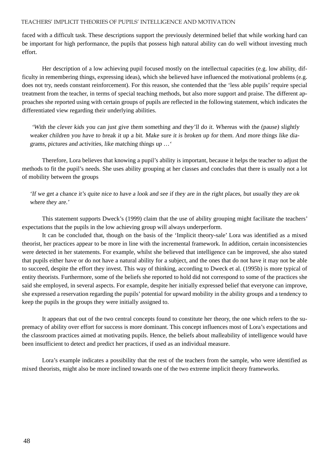faced with a difficult task. These descriptions support the previously determined belief that while working hard can be important for high performance, the pupils that possess high natural ability can do well without investing much effort.

Her description of a low achieving pupil focused mostly on the intellectual capacities (e.g. low ability, difficulty in remembering things, expressing ideas), which she believed have influenced the motivational problems (e.g. does not try, needs constant reinforcement). For this reason, she contended that the 'less able pupils' require special treatment from the teacher, in terms of special teaching methods, but also more support and praise. The different approaches she reported using with certain groups of pupils are reflected in the following statement, which indicates the differentiated view regarding their underlying abilities.

 'With the clever kids you can just give them something and they'll do it. Whereas with the (pause) slightly weaker children you have to break it up a bit. Make sure it is broken up for them. And more things like diagrams, pictures and activities, like matching things up …'

 Therefore, Lora believes that knowing a pupil's ability is important, because it helps the teacher to adjust the methods to fit the pupil's needs. She uses ability grouping at her classes and concludes that there is usually not a lot of mobility between the groups

'If we get a chance it's quite nice to have a look and see if they are in the right places, but usually they are ok where they are.'

 This statement supports Dweck's (1999) claim that the use of ability grouping might facilitate the teachers' expectations that the pupils in the low achieving group will always underperform.

 It can be concluded that, though on the basis of the 'Implicit theory-sale' Lora was identified as a mixed theorist, her practices appear to be more in line with the incremental framework. In addition, certain inconsistencies were detected in her statements. For example, whilst she believed that intelligence can be improved, she also stated that pupils either have or do not have a natural ability for a subject, and the ones that do not have it may not be able to succeed, despite the effort they invest. This way of thinking, according to Dweck et al. (1995b) is more typical of entity theorists. Furthermore, some of the beliefs she reported to hold did not correspond to some of the practices she said she employed, in several aspects. For example, despite her initially expressed belief that everyone can improve, she expressed a reservation regarding the pupils' potential for upward mobility in the ability groups and a tendency to keep the pupils in the groups they were initially assigned to.

 It appears that out of the two central concepts found to constitute her theory, the one which refers to the supremacy of ability over effort for success is more dominant. This concept influences most of Lora's expectations and the classroom practices aimed at motivating pupils. Hence, the beliefs about malleability of intelligence would have been insufficient to detect and predict her practices, if used as an individual measure.

 Lora's example indicates a possibility that the rest of the teachers from the sample, who were identified as mixed theorists, might also be more inclined towards one of the two extreme implicit theory frameworks.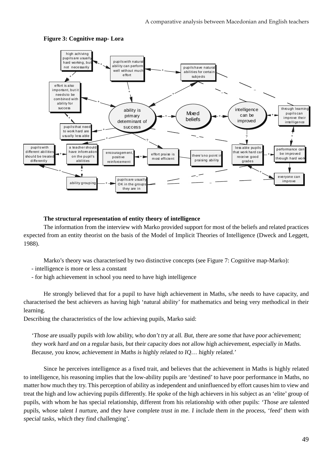

### **Figure 3: Cognitive map- Lora**

### **The structural representation of entity theory of intelligence**

 The information from the interview with Marko provided support for most of the beliefs and related practices expected from an entity theorist on the basis of the Model of Implicit Theories of Intelligence (Dweck and Leggett, 1988).

Marko's theory was characterised by two distinctive concepts (see Figure 7: Cognitive map-Marko):

- intelligence is more or less a constant
- for high achievement in school you need to have high intelligence

 He strongly believed that for a pupil to have high achievement in Maths, s/he needs to have capacity, and characterised the best achievers as having high 'natural ability' for mathematics and being very methodical in their learning.

Describing the characteristics of the low achieving pupils, Marko said:

'Those are usually pupils with low ability, who don't try at all. But, there are some that have poor achievement; they work hard and on a regular basis, but their capacity does not allow high achievement, especially in Maths. Because, you know, achievement in Maths is highly related to IQ… highly related.'

 Since he perceives intelligence as a fixed trait, and believes that the achievement in Maths is highly related to intelligence, his reasoning implies that the low-ability pupils are 'destined' to have poor performance in Maths, no matter how much they try. This perception of ability as independent and uninfluenced by effort causes him to view and treat the high and low achieving pupils differently. He spoke of the high achievers in his subject as an 'elite' group of pupils, with whom he has special relationship, different from his relationship with other pupils: 'Those are talented pupils, whose talent I nurture, and they have complete trust in me. I include them in the process, 'feed' them with special tasks, which they find challenging'.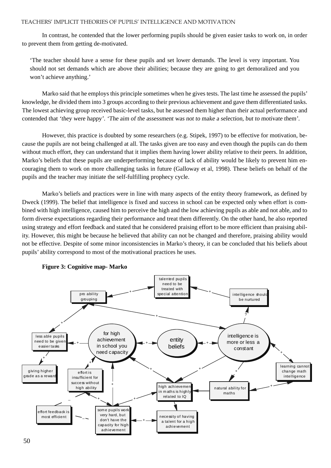In contrast, he contended that the lower performing pupils should be given easier tasks to work on, in order to prevent them from getting de-motivated.

'The teacher should have a sense for these pupils and set lower demands. The level is very important. You should not set demands which are above their abilities; because they are going to get demoralized and you won't achieve anything.'

 Marko said that he employs this principle sometimes when he gives tests. The last time he assessed the pupils' knowledge, he divided them into 3 groups according to their previous achievement and gave them differentiated tasks. The lowest achieving group received basic-level tasks, but he assessed them higher than their actual performance and contended that 'they were happy'. 'The aim of the assessment was not to make a selection, but to motivate them'.

 However, this practice is doubted by some researchers (e.g. Stipek, 1997) to be effective for motivation, because the pupils are not being challenged at all. The tasks given are too easy and even though the pupils can do them without much effort, they can understand that it implies them having lower ability relative to their peers. In addition, Marko's beliefs that these pupils are underperforming because of lack of ability would be likely to prevent him encouraging them to work on more challenging tasks in future (Galloway et al, 1998). These beliefs on behalf of the pupils and the teacher may initiate the self-fulfilling prophecy cycle.

 Marko's beliefs and practices were in line with many aspects of the entity theory framework, as defined by Dweck (1999). The belief that intelligence is fixed and success in school can be expected only when effort is combined with high intelligence, caused him to perceive the high and the low achieving pupils as able and not able, and to form diverse expectations regarding their performance and treat them differently. On the other hand, he also reported using strategy and effort feedback and stated that he considered praising effort to be more efficient than praising ability. However, this might be because he believed that ability can not be changed and therefore, praising ability would not be effective. Despite of some minor inconsistencies in Marko's theory, it can be concluded that his beliefs about pupils' ability correspond to most of the motivational practices he uses.



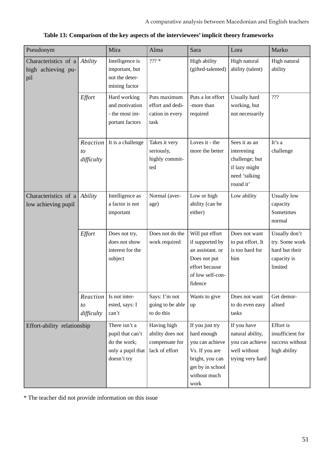| Pseudonym                                                  |                              | Mira                                                                                  | Alma                                                                | Sara                                                                                                                               | Lora                                                                                          | Marko                                                                       |
|------------------------------------------------------------|------------------------------|---------------------------------------------------------------------------------------|---------------------------------------------------------------------|------------------------------------------------------------------------------------------------------------------------------------|-----------------------------------------------------------------------------------------------|-----------------------------------------------------------------------------|
| Characteristics of a<br>high achieving pu-<br>pil          | Ability                      | Intelligence is<br>important, but<br>not the deter-<br>mining factor                  | $222 *$                                                             | High ability<br>(gifted-talented)                                                                                                  | High natural<br>ability (talent)                                                              | High natural<br>ability                                                     |
|                                                            | Effort                       | Hard working<br>and motivation<br>- the most im-<br>portant factors                   | Puts maximum<br>effort and dedi-<br>cation in every<br>task         | Puts a lot effort<br>-more than<br>required                                                                                        | Usually hard<br>working, but<br>not necessarily                                               | ???                                                                         |
|                                                            | Reaction<br>to<br>difficulty | It is a challenge                                                                     | Takes it very<br>seriously,<br>highly commit-<br>ted                | Loves it - the<br>more the better                                                                                                  | Sees it as an<br>interesting<br>challenge; but<br>if lazy might<br>need 'talking<br>round it' | It's a<br>challenge                                                         |
| Characteristics of a <i>Ability</i><br>low achieving pupil |                              | Intelligence as<br>a factor is not<br>important                                       | Normal (aver-<br>age)                                               | Low or high<br>ability (can be<br>either)                                                                                          | Low ability                                                                                   | <b>Usually</b> low<br>capacity<br>Sometimes<br>normal                       |
|                                                            | Effort                       | Does not try,<br>does not show<br>interest for the<br>subject                         | Does not do the<br>work required                                    | Will put effort<br>if supported by<br>an assistant. or<br>Does not put<br>effort because<br>of low self-con-<br>fidence            | Does not want<br>to put effort. It<br>is too hard for<br>him                                  | Usually don't<br>try. Some work<br>hard but their<br>capacity is<br>limited |
|                                                            | Reaction<br>to<br>difficulty | Is not inter-<br>ested, says: I<br>can't                                              | Says: I'm not<br>going to be able<br>to do this                     | Wants to give<br>up                                                                                                                | Does not want<br>to do even easy<br>tasks                                                     | Get demor-<br>alised                                                        |
| Effort-ability relationship                                |                              | There isn't a<br>pupil that can't<br>do the work;<br>only a pupil that<br>doesn't try | Having high<br>ability does not<br>compensate for<br>lack of effort | If you just try<br>hard enough<br>you can achieve<br>Vs. If you are<br>bright, you can<br>get by in school<br>without much<br>work | If you have<br>natural ability,<br>you can achieve<br>well without<br>trying very hard        | Effort is<br>insufficient for<br>success without<br>high ability            |

|  |  | Table 13: Comparison of the key aspects of the interviewees' implicit theory frameworks |  |
|--|--|-----------------------------------------------------------------------------------------|--|
|  |  |                                                                                         |  |

\* The teacher did not provide information on this issue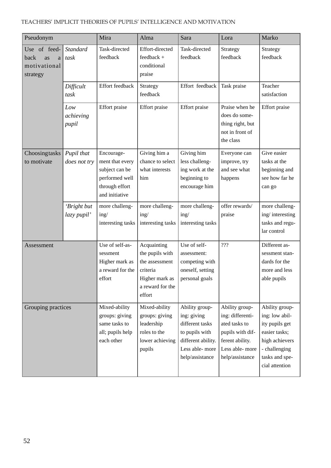| Pseudonym                                                   |                            | Mira                                                                                                  | Alma                                                                                                         | Sara                                                                                                                          | Lora                                                                                                                            | Marko                                                                                                                                      |
|-------------------------------------------------------------|----------------------------|-------------------------------------------------------------------------------------------------------|--------------------------------------------------------------------------------------------------------------|-------------------------------------------------------------------------------------------------------------------------------|---------------------------------------------------------------------------------------------------------------------------------|--------------------------------------------------------------------------------------------------------------------------------------------|
| Use of feed-<br>back<br>as<br>a<br>motivational<br>strategy | Standard<br>task           | Task-directed<br>feedback                                                                             | Effort-directed<br>feedback +<br>conditional<br>praise                                                       | Task-directed<br>feedback                                                                                                     | Strategy<br>feedback                                                                                                            | Strategy<br>feedback                                                                                                                       |
|                                                             | Difficult<br>task          | Effort feedback                                                                                       | Strategy<br>feedback                                                                                         | Effort feedback                                                                                                               | Task praise                                                                                                                     | Teacher<br>satisfaction                                                                                                                    |
|                                                             | Low<br>achieving<br>pupil  | <b>Effort</b> praise                                                                                  | Effort praise                                                                                                | <b>Effort</b> praise                                                                                                          | Praise when he<br>does do some-<br>thing right, but<br>not in front of<br>the class                                             | <b>Effort</b> praise                                                                                                                       |
| Choosingtasks<br>to motivate                                | Pupil that<br>does not try | Encourage-<br>ment that every<br>subject can be<br>performed well<br>through effort<br>and initiative | Giving him a<br>chance to select<br>what interests<br>him                                                    | Giving him<br>less challeng-<br>ing work at the<br>beginning to<br>encourage him                                              | Everyone can<br>improve, try<br>and see what<br>happens                                                                         | Give easier<br>tasks at the<br>beginning and<br>see how far he<br>can go                                                                   |
|                                                             | 'Bright but<br>lazy pupil' | more challeng-<br>ing/<br>interesting tasks                                                           | more challeng-<br>ing/<br>interesting tasks                                                                  | more challeng-<br>ing/<br>interesting tasks                                                                                   | offer rewards/<br>praise                                                                                                        | more challeng-<br>ing/interesting<br>tasks and regu-<br>lar control                                                                        |
| Assessment                                                  |                            | Use of self-as-<br>sessment<br>Higher mark as<br>a reward for the<br>effort                           | Acquainting<br>the pupils with<br>the assessment<br>criteria<br>Higher mark as<br>a reward for the<br>effort | Use of self-<br>assessment:<br>competing with<br>oneself, setting<br>personal goals                                           | ???                                                                                                                             | Different as-<br>sessment stan-<br>dards for the<br>more and less<br>able pupils                                                           |
| Grouping practices                                          |                            | Mixed-ability<br>groups: giving<br>same tasks to<br>all; pupils help<br>each other                    | Mixed-ability<br>groups: giving<br>leadership<br>roles to the<br>lower achieving<br>pupils                   | Ability group-<br>ing: giving<br>different tasks<br>to pupils with<br>different ability.<br>Less able-more<br>help/assistance | Ability group-<br>ing: differenti-<br>ated tasks to<br>pupils with dif-<br>ferent ability.<br>Less able-more<br>help/assistance | Ability group-<br>ing: low abil-<br>ity pupils get<br>easier tasks;<br>high achievers<br>- challenging<br>tasks and spe-<br>cial attention |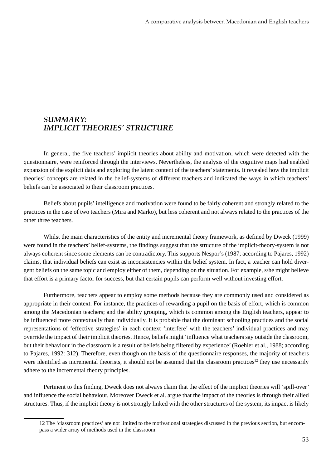### *SUMMARY: IMPLICIT THEORIES' STRUCTURE*

 In general, the five teachers' implicit theories about ability and motivation, which were detected with the questionnaire, were reinforced through the interviews. Nevertheless, the analysis of the cognitive maps had enabled expansion of the explicit data and exploring the latent content of the teachers' statements. It revealed how the implicit theories' concepts are related in the belief-systems of different teachers and indicated the ways in which teachers' beliefs can be associated to their classroom practices.

 Beliefs about pupils' intelligence and motivation were found to be fairly coherent and strongly related to the practices in the case of two teachers (Mira and Marko), but less coherent and not always related to the practices of the other three teachers.

 Whilst the main characteristics of the entity and incremental theory framework, as defined by Dweck (1999) were found in the teachers' belief-systems, the findings suggest that the structure of the implicit-theory-system is not always coherent since some elements can be contradictory. This supports Nespor's (1987; according to Pajares, 1992) claims, that individual beliefs can exist as inconsistencies within the belief system. In fact, a teacher can hold divergent beliefs on the same topic and employ either of them, depending on the situation. For example, s/he might believe that effort is a primary factor for success, but that certain pupils can perform well without investing effort.

 Furthermore, teachers appear to employ some methods because they are commonly used and considered as appropriate in their context. For instance, the practices of rewarding a pupil on the basis of effort, which is common among the Macedonian teachers; and the ability grouping, which is common among the English teachers, appear to be influenced more contextually than individually. It is probable that the dominant schooling practices and the social representations of 'effective strategies' in each context 'interfere' with the teachers' individual practices and may override the impact of their implicit theories. Hence, beliefs might 'influence what teachers say outside the classroom, but their behaviour in the classroom is a result of beliefs being filtered by experience' (Roehler et al., 1988; according to Pajares, 1992: 312). Therefore, even though on the basis of the questionnaire responses, the majority of teachers were identified as incremental theorists, it should not be assumed that the classroom practices<sup>12</sup> they use necessarily adhere to the incremental theory principles.

 Pertinent to this finding, Dweck does not always claim that the effect of the implicit theories will 'spill-over' and influence the social behaviour. Moreover Dweck et al. argue that the impact of the theories is through their allied structures. Thus, if the implicit theory is not strongly linked with the other structures of the system, its impact is likely

<sup>12</sup> The 'classroom practices' are not limited to the motivational strategies discussed in the previous section, but encompass a wider array of methods used in the classroom.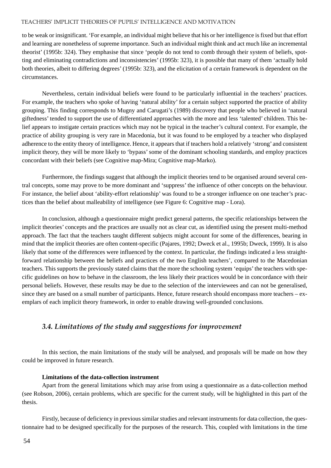to be weak or insignificant. 'For example, an individual might believe that his or her intelligence is fixed but that effort and learning are nonetheless of supreme importance. Such an individual might think and act much like an incremental theorist' (1995b: 324). They emphasise that since 'people do not tend to comb through their system of beliefs, spotting and eliminating contradictions and inconsistencies' (1995b: 323), it is possible that many of them 'actually hold both theories, albeit to differing degrees' (1995b: 323), and the elicitation of a certain framework is dependent on the circumstances.

 Nevertheless, certain individual beliefs were found to be particularly influential in the teachers' practices. For example, the teachers who spoke of having 'natural ability' for a certain subject supported the practice of ability grouping. This finding corresponds to Mugny and Carugati's (1989) discovery that people who believed in 'natural giftedness' tended to support the use of differentiated approaches with the more and less 'talented' children. This belief appears to instigate certain practices which may not be typical in the teacher's cultural context. For example, the practice of ability grouping is very rare in Macedonia, but it was found to be employed by a teacher who displayed adherence to the entity theory of intelligence. Hence, it appears that if teachers hold a relatively 'strong' and consistent implicit theory, they will be more likely to 'bypass' some of the dominant schooling standards, and employ practices concordant with their beliefs (see Cognitive map-Mira; Cognitive map-Marko).

 Furthermore, the findings suggest that although the implicit theories tend to be organised around several central concepts, some may prove to be more dominant and 'suppress' the influence of other concepts on the behaviour. For instance, the belief about 'ability-effort relationship' was found to be a stronger influence on one teacher's practices than the belief about malleability of intelligence (see Figure 6: Cognitive map - Lora).

 In conclusion, although a questionnaire might predict general patterns, the specific relationships between the implicit theories' concepts and the practices are usually not as clear cut, as identified using the present multi-method approach. The fact that the teachers taught different subjects might account for some of the differences, bearing in mind that the implicit theories are often content-specific (Pajares, 1992; Dweck et al., 1995b; Dweck, 1999). It is also likely that some of the differences were influenced by the context. In particular, the findings indicated a less straightforward relationship between the beliefs and practices of the two English teachers', compared to the Macedonian teachers. This supports the previously stated claims that the more the schooling system 'equips' the teachers with specific guidelines on how to behave in the classroom, the less likely their practices would be in concordance with their personal beliefs. However, these results may be due to the selection of the interviewees and can not be generalised, since they are based on a small number of participants. Hence, future research should encompass more teachers – exemplars of each implicit theory framework, in order to enable drawing well-grounded conclusions.

### *3.4. Limitations of the study and suggestions for improvement*

 In this section, the main limitations of the study will be analysed, and proposals will be made on how they could be improved in future research.

#### **Limitations of the data-collection instrument**

 Apart from the general limitations which may arise from using a questionnaire as a data-collection method (see Robson, 2006), certain problems, which are specific for the current study, will be highlighted in this part of the thesis.

 Firstly, because of deficiency in previous similar studies and relevant instruments for data collection, the questionnaire had to be designed specifically for the purposes of the research. This, coupled with limitations in the time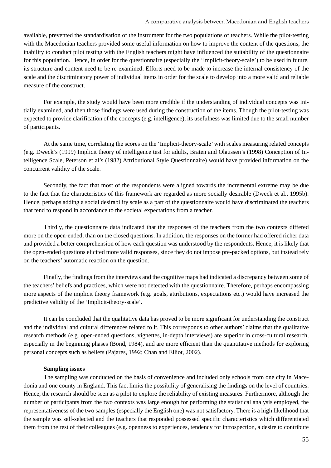available, prevented the standardisation of the instrument for the two populations of teachers. While the pilot-testing with the Macedonian teachers provided some useful information on how to improve the content of the questions, the inability to conduct pilot testing with the English teachers might have influenced the suitability of the questionnaire for this population. Hence, in order for the questionnaire (especially the 'Implicit-theory-scale') to be used in future, its structure and content need to be re-examined. Efforts need to be made to increase the internal consistency of the scale and the discriminatory power of individual items in order for the scale to develop into a more valid and reliable measure of the construct.

 For example, the study would have been more credible if the understanding of individual concepts was initially examined, and then those findings were used during the construction of the items. Though the pilot-testing was expected to provide clarification of the concepts (e.g. intelligence), its usefulness was limited due to the small number of participants.

 At the same time, correlating the scores on the 'Implicit-theory-scale' with scales measuring related concepts (e.g. Dweck's (1999) Implicit theory of intelligence test for adults, Braten and Olaussen's (1998) Conception of Intelligence Scale, Peterson et al's (1982) Attributional Style Questionnaire) would have provided information on the concurrent validity of the scale.

 Secondly, the fact that most of the respondents were aligned towards the incremental extreme may be due to the fact that the characteristics of this framework are regarded as more socially desirable (Dweck et al., 1995b). Hence, perhaps adding a social desirability scale as a part of the questionnaire would have discriminated the teachers that tend to respond in accordance to the societal expectations from a teacher.

 Thirdly, the questionnaire data indicated that the responses of the teachers from the two contexts differed more on the open-ended, than on the closed questions. In addition, the responses on the former had offered richer data and provided a better comprehension of how each question was understood by the respondents. Hence, it is likely that the open-ended questions elicited more valid responses, since they do not impose pre-packed options, but instead rely on the teachers' automatic reaction on the question.

 Finally, the findings from the interviews and the cognitive maps had indicated a discrepancy between some of the teachers' beliefs and practices, which were not detected with the questionnaire. Therefore, perhaps encompassing more aspects of the implicit theory framework (e.g. goals, attributions, expectations etc.) would have increased the predictive validity of the 'Implicit-theory-scale'.

 It can be concluded that the qualitative data has proved to be more significant for understanding the construct and the individual and cultural differences related to it. This corresponds to other authors' claims that the qualitative research methods (e.g. open-ended questions, vignettes, in-depth interviews) are superior in cross-cultural research, especially in the beginning phases (Bond, 1984), and are more efficient than the quantitative methods for exploring personal concepts such as beliefs (Pajares, 1992; Chan and Elliot, 2002).

### **Sampling issues**

 The sampling was conducted on the basis of convenience and included only schools from one city in Macedonia and one county in England. This fact limits the possibility of generalising the findings on the level of countries. Hence, the research should be seen as a pilot to explore the reliability of existing measures. Furthermore, although the number of participants from the two contexts was large enough for performing the statistical analysis employed, the representativeness of the two samples (especially the English one) was not satisfactory. There is a high likelihood that the sample was self-selected and the teachers that responded possessed specific characteristics which differentiated them from the rest of their colleagues (e.g. openness to experiences, tendency for introspection, a desire to contribute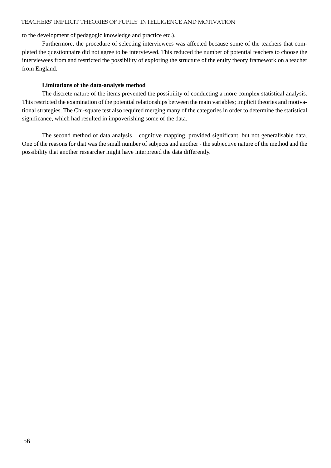to the development of pedagogic knowledge and practice etc.).

 Furthermore, the procedure of selecting interviewees was affected because some of the teachers that completed the questionnaire did not agree to be interviewed. This reduced the number of potential teachers to choose the interviewees from and restricted the possibility of exploring the structure of the entity theory framework on a teacher from England.

### **Limitations of the data-analysis method**

 The discrete nature of the items prevented the possibility of conducting a more complex statistical analysis. This restricted the examination of the potential relationships between the main variables; implicit theories and motivational strategies. The Chi-square test also required merging many of the categories in order to determine the statistical significance, which had resulted in impoverishing some of the data.

 The second method of data analysis – cognitive mapping, provided significant, but not generalisable data. One of the reasons for that was the small number of subjects and another - the subjective nature of the method and the possibility that another researcher might have interpreted the data differently.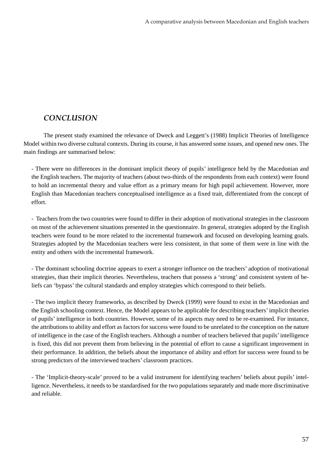### *CONCLUSION*

 The present study examined the relevance of Dweck and Leggett's (1988) Implicit Theories of Intelligence Model within two diverse cultural contexts. During its course, it has answered some issues, and opened new ones. The main findings are summarised below:

- There were no differences in the dominant implicit theory of pupils' intelligence held by the Macedonian and the English teachers. The majority of teachers (about two-thirds of the respondents from each context) were found to hold an incremental theory and value effort as a primary means for high pupil achievement. However, more English than Macedonian teachers conceptualised intelligence as a fixed trait, differentiated from the concept of effort.

- Teachers from the two countries were found to differ in their adoption of motivational strategies in the classroom on most of the achievement situations presented in the questionnaire. In general, strategies adopted by the English teachers were found to be more related to the incremental framework and focused on developing learning goals. Strategies adopted by the Macedonian teachers were less consistent, in that some of them were in line with the entity and others with the incremental framework.

- The dominant schooling doctrine appears to exert a stronger influence on the teachers' adoption of motivational strategies, than their implicit theories. Nevertheless, teachers that possess a 'strong' and consistent system of beliefs can 'bypass' the cultural standards and employ strategies which correspond to their beliefs.

- The two implicit theory frameworks, as described by Dweck (1999) were found to exist in the Macedonian and the English schooling context. Hence, the Model appears to be applicable for describing teachers' implicit theories of pupils' intelligence in both countries. However, some of its aspects may need to be re-examined. For instance, the attributions to ability and effort as factors for success were found to be unrelated to the conception on the nature of intelligence in the case of the English teachers. Although a number of teachers believed that pupils' intelligence is fixed, this did not prevent them from believing in the potential of effort to cause a significant improvement in their performance. In addition, the beliefs about the importance of ability and effort for success were found to be strong predictors of the interviewed teachers' classroom practices.

- The 'Implicit-theory-scale' proved to be a valid instrument for identifying teachers' beliefs about pupils' intelligence. Nevertheless, it needs to be standardised for the two populations separately and made more discriminative and reliable.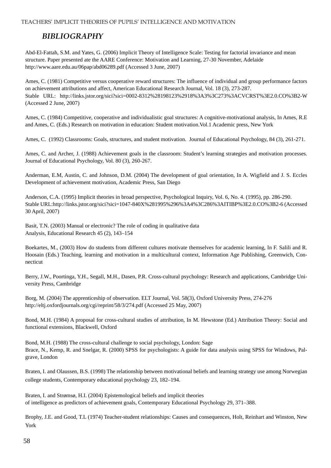### *BIBLIOGRAPHY*

Abd-El-Fattah, S.M. and Yates, G. (2006) Implicit Theory of Intelligence Scale: Testing for factorial invariance and mean structure. Paper presented ate the AARE Conference: Motivation and Learning, 27-30 November, Adelaide http://www.aare.edu.au/06pap/abd06289.pdf (Accessed 3 June, 2007)

Ames, C. (1981) Competitive versus cooperative reward structures: The influence of individual and group performance factors on achievement attributions and affect, American Educational Research Journal, Vol. 18 (3), 273-287. Stable URL: http://links.jstor.org/sici?sici=0002-8312%28198123%2918%3A3%3C273%3ACVCRST%3E2.0.CO%3B2-W (Accessed 2 June, 2007)

Ames, C. (1984) Competitive, cooperative and individualistic goal structures: A cognitive-motivational analysis, In Ames, R.E and Ames, C. (Eds.) Research on motivation in education: Student motivation.Vol.1 Academic press, New York

Ames, C. (1992) Classrooms: Goals, structures, and student motivation. Journal of Educational Psychology, 84 (3), 261-271.

Ames, C. and Archer, J. (1988) Achievement goals in the classroom: Student's learning strategies and motivation processes. Journal of Educational Psychology, Vol. 80 (3), 260-267.

Anderman, E.M, Austin, C. and Johnson, D.M. (2004) The development of goal orientation, In A. Wigfield and J. S. Eccles Development of achievement motivation, Academic Press, San Diego

Anderson, C.A. (1995) Implicit theories in broad perspective, Psychological Inquiry, Vol. 6, No. 4. (1995), pp. 286-290. Stable URL:http://links.jstor.org/sici?sici=1047-840X%281995%296%3A4%3C286%3AITIBP%3E2.0.CO%3B2-6 (Accessed 30 April, 2007)

Basit, T.N. (2003) Manual or electronic? The role of coding in qualitative data Analysis, Educational Research 45 (2), 143–154

Boekartes, M., (2003) How do students from different cultures motivate themselves for academic learning, In F. Salili and R. Hoosain (Eds.) Teaching, learning and motivation in a multicultural context, Information Age Publishing, Greenwich, Connecticut

Berry, J.W., Poortinga, Y.H., Segall, M.H., Dasen, P.R. Cross-cultural psychology: Research and applications, Cambridge University Press, Cambridge

Borg, M. (2004) The apprenticeship of observation. ELT Journal, Vol. 58(3), Oxford University Press, 274-276 http://eltj.oxfordjournals.org/cgi/reprint/58/3/274.pdf (Accessed 25 May, 2007)

Bond, M.H. (1984) A proposal for cross-cultural studies of attribution, In M. Hewstone (Ed.) Attribution Theory: Social and functional extensions, Blackwell, Oxford

Bond, M.H. (1988) The cross-cultural challenge to social psychology, London: Sage Brace, N., Kemp, R. and Snelgar, R. (2000) SPSS for psychologists: A guide for data analysis using SPSS for Windows, Palgrave, London

Braten, I. and Olaussen, B.S. (1998) The relationship between motivational beliefs and learning strategy use among Norwegian college students, Contemporary educational psychology 23, 182–194.

Braten, I. and Strømsø, H.I. (2004) Epistemological beliefs and implicit theories of intelligence as predictors of achievement goals, Contemporary Educational Psychology 29, 371–388.

Brophy, J.E. and Good, T.L (1974) Teacher-student relationships: Causes and consequences, Holt, Reinhart and Winston, New York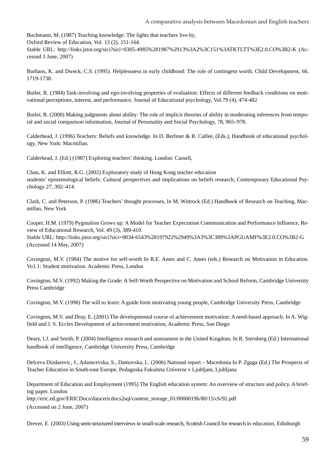Buchmann, M. (1987) Teaching knowledge: The lights that teachers live by, Oxford Review of Education, Vol. 13 (2), 151-164. Stable URL: http://links.jstor.org/sici?sici=0305-4985%281987%2913%3A2%3C151%3ATKTLTT%3E2.0.CO%3B2-K (Accessed 3 June, 2007)

Burhans, K. and Dweck, C.S. (1995). Helplessness in early childhood: The role of contingent worth, Child Development, 66, 1719-1738.

Butler, R. (1984) Task-involving and ego-involving properties of evaluation: Effects of different feedback conditions on motivational perceptions, interest, and performance. Journal of Educational psychology, Vol.79 (4), 474-482

Butler, R. (2000) Making judgments about ability: The role of implicit theories of ability in moderating inferences from temporal and social comparison information, Journal of Personality and Social Psychology, 78, 965–978.

Calderhead, J. (1996) Teachers: Beliefs and knowledge. In D. Berliner & R. Calfee, (Eds.), Handbook of educational psychology, New York: Macmillan.

Calderhead, J. (Ed.) (1987) Exploring teachers' thinking. London: Cassell,

Chan, K. and Elliott, R.G. (2002) Exploratory study of Hong Kong teacher education students' epistemological beliefs: Cultural perspectives and implications on beliefs research, Contemporary Educational Psychology 27, 392–414.

Clark, C. and Peterson, P. (1986) Teachers' thought processes, In M. Wittrock (Ed.) Handbook of Research on Teaching, Macmillan, New York

Cooper, H.M. (1979) Pygmalion Grows up: A Model for Teacher Expectation Communication and Performance Influence, Review of Educational Research, Vol. 49 (3), 389-410. Stable URL: http://links.jstor.org/sici?sici=0034-6543%28197922%2949%3A3%3C389%3APGUAMF%3E2.0.CO%3B2-G (Accessed 14 May, 2007)

Covington, M.V. (1984) The motive for self-worth In R.E. Ames and C. Ames (eds.) Research on Motivation in Education. Vo1.1: Student motivation. Academic Press, London

Covington, M.V. (1992) Making the Grade: A Self-Worth Perspective on Motivation and School Reform, Cambridge University Press Cambridge

Covington, M.V. (1998) The will to learn: A guide form motivating young people, Cambridge University Press, Cambridge

Covington, M.V. and Dray, E. (2001) The developmental course of achievement motivation: A need-based approach. In A. Wigfield and J. S. Eccles Development of achievement motivation, Academic Press, San Diego

Deary, I.J. and Smith, P. (2004) Intelligence research and assessment in the United Kingdom. In R. Sternberg (Ed.) International handbook of intelligence, Cambridge University Press, Cambridge

Delceva Dizdarevic, J., Adamcevska, S., Damovska, L. (2006) National report – Macedonia In P. Zgaga (Ed.) The Prospects of Teacher Education in South-east Europe, Pedagoska Fakulteta Univerze v Ljubljani, Ljubljana

Department of Education and Employment (1995) The English education system: An overview of structure and policy. A briefing paper. London http://eric.ed.gov/ERICDocs/data/ericdocs2sql/content\_storage\_01/0000019b/80/15/c6/92.pdf

(Accessed on 2 June, 2007)

Drever, E. (2003) Using semi-structured interviews in small-scale research, Scottish Council for research in education, Edinburgh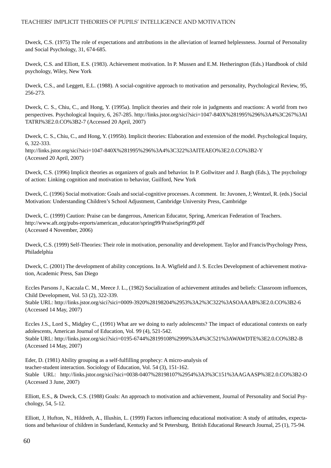Dweck, C.S. (1975) The role of expectations and attributions in the alleviation of learned helplessness. Journal of Personality and Social Psychology, 31, 674-685.

Dweck, C.S. and Elliott, E.S. (1983). Achievement motivation. In P. Mussen and E.M. Hetherington (Eds.) Handbook of child psychology, Wiley, New York

Dweck, C.S., and Leggett, E.L. (1988). A social-cognitive approach to motivation and personality, Psychological Review, 95, 256-273.

Dweck, C. S., Chiu, C., and Hong, Y. (1995a). Implicit theories and their role in judgments and reactions: A world from two perspectives. Psychological Inquiry, 6, 267-285. http://links.jstor.org/sici?sici=1047-840X%281995%296%3A4%3C267%3AI TATRI%3E2.0.CO%3B2-7 (Accessed 20 April, 2007)

Dweck, C. S., Chiu, C., and Hong, Y. (1995b). Implicit theories: Elaboration and extension of the model. Psychological Inquiry, 6, 322-333. http://links.jstor.org/sici?sici=1047-840X%281995%296%3A4%3C322%3AITEAEO%3E2.0.CO%3B2-Y (Accessed 20 April, 2007)

Dweck, C.S. (1996) Implicit theories as organizers of goals and behavior. In P. Gollwitzer and J. Bargh (Eds.), The psychology of action: Linking cognition and motivation to behavior, Guilford, New York

Dweck, C. (1996) Social motivation: Goals and social-cognitive processes. A comment. In: Juvonen, J; Wentzel, R. (eds.) Social Motivation: Understanding Children's School Adjustment, Cambridge University Press, Cambridge

Dweck, C. (1999) Caution: Praise can be dangerous, American Educator, Spring, American Federation of Teachers. http://www.aft.org/pubs-reports/american\_educator/spring99/PraiseSpring99.pdf (Accessed 4 November, 2006)

Dweck, C.S. (1999) Self-Theories: Their role in motivation, personality and development. Taylor and Francis/Psychology Press, Philadelphia

Dweck, C. (2001) The development of ability conceptions. In A. Wigfield and J. S. Eccles Development of achievement motivation, Academic Press, San Diego

Eccles Parsons J., Kaczala C. M., Meece J. L., (1982) Socialization of achievement attitudes and beliefs: Classroom influences, Child Development, Vol. 53 (2), 322-339.

Stable URL: http://links.jstor.org/sici?sici=0009-3920%28198204%2953%3A2%3C322%3ASOAAAB%3E2.0.CO%3B2-6 (Accessed 14 May, 2007)

Eccles J.S., Lord S., Midgley C., (1991) What are we doing to early adolescents? The impact of educational contexts on early adolescents, American Journal of Education, Vol. 99 (4), 521-542. Stable URL: http://links.jstor.org/sici?sici=0195-6744%28199108%2999%3A4%3C521%3AWAWDTE%3E2.0.CO%3B2-B (Accessed 14 May, 2007)

Eder, D. (1981) Ability grouping as a self-fulfilling prophecy: A micro-analysis of teacher-student interaction. Sociology of Education, Vol. 54 (3), 151-162. Stable URL: http://links.jstor.org/sici?sici=0038-0407%28198107%2954%3A3%3C151%3AAGAASP%3E2.0.CO%3B2-O (Accessed 3 June, 2007)

Elliott, E.S., & Dweck, C.S. (1988) Goals: An approach to motivation and achievement, Journal of Personality and Social Psychology, 54, 5-12.

Elliott, J, Hufton, N., Hildreth, A., Illushin, L. (1999) Factors influencing educational motivation: A study of attitudes, expectations and behaviour of children in Sunderland, Kentucky and St Petersburg, British Educational Research Journal, 25 (1), 75-94.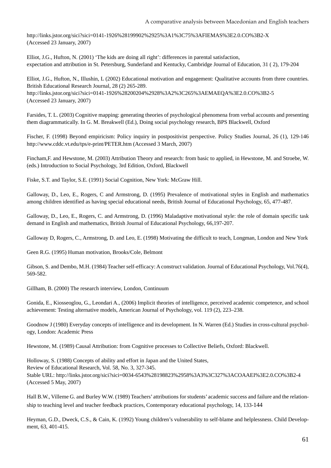http://links.jstor.org/sici?sici=0141-1926%28199902%2925%3A1%3C75%3AFIEMAS%3E2.0.CO%3B2-X (Accessed 23 January, 2007)

Elliot, J.G., Hufton, N. (2001) 'The kids are doing all right': differences in parental satisfaction, expectation and attribution in St. Petersburg, Sunderland and Kentucky, Cambridge Journal of Education, 31 ( 2), 179-204

Elliot, J.G., Hufton, N., Illushin, L (2002) Educational motivation and engagement: Qualitative accounts from three countries. British Educational Research Journal, 28 (2) 265-289. http://links.jstor.org/sici?sici=0141-1926%28200204%2928%3A2%3C265%3AEMAEQA%3E2.0.CO%3B2-5 (Accessed 23 January, 2007)

Farsides, T. L. (2003) Cognitive mapping: generating theories of psychological phenomena from verbal accounts and presenting them diagrammatically. In G. M. Breakwell (Ed.), Doing social psychology research, BPS Blackwell, Oxford

Fischer, F. (1998) Beyond empiricism: Policy inquiry in postpositivist perspective. Policy Studies Journal, 26 (1), 129-146 http://www.cddc.vt.edu/tps/e-print/PETER.htm (Accessed 3 March, 2007)

Fincham,F. and Hewstone, M. (2003) Attribution Theory and research: from basic to applied, in Hewstone, M. and Stroebe, W. (eds.) Introduction to Social Psychology, 3rd Edition, Oxford, Blackwell

Fiske, S.T. and Taylor, S.E. (1991) Social Cognition, New York: McGraw Hill.

Galloway, D., Leo, E., Rogers, C and Armstrong, D. (1995) Prevalence of motivational styles in English and mathematics among children identified as having special educational needs, British Journal of Educational Psychology, 65, 477-487.

Galloway, D., Leo, E., Rogers, C. and Armstrong, D. (1996) Maladaptive motivational style: the role of domain specific task demand in English and mathematics, British Journal of Educational Psychology, 66,197-207.

Galloway D, Rogers, C., Armstrong, D. and Leo, E. (1998) Motivating the difficult to teach, Longman, London and New York

Geen R.G. (1995) Human motivation, Brooks/Cole, Belmont

Gibson, S. and Dembo, M.H. (1984) Teacher self-efficacy: A construct validation. Journal of Educational Psychology, Vol.76(4), 569-582.

Gillham, B. (2000) The research interview, London, Continuum

Gonida, E., Kiosseoglou, G., Leondari A., (2006) Implicit theories of intelligence, perceived academic competence, and school achievement: Testing alternative models, American Journal of Psychology, vol. 119 (2), 223–238.

Goodnow J (1980) Everyday concepts of intelligence and its development. In N. Warren (Ed.) Studies in cross-cultural psychology, London: Academic Press

Hewstone, M. (1989) Causal Attribution: from Cognitive processes to Collective Beliefs, Oxford: Blackwell.

Holloway, S. (1988) Concepts of ability and effort in Japan and the United States, Review of Educational Research, Vol. 58, No. 3, 327-345. Stable URL: http://links.jstor.org/sici?sici=0034-6543%28198823%2958%3A3%3C327%3ACOAAEI%3E2.0.CO%3B2-4 (Accessed 5 May, 2007)

Hall B.W., Villeme G. and Burley W.W. (1989) Teachers' attributions for students' academic success and failure and the relationship to teaching level and teacher feedback practices, Contemporary educational psychology, 14, 133-144

Heyman, G.D., Dweck, C.S., & Cain, K. (1992) Young children's vulnerability to self-blame and helplessness. Child Development, 63, 401-415.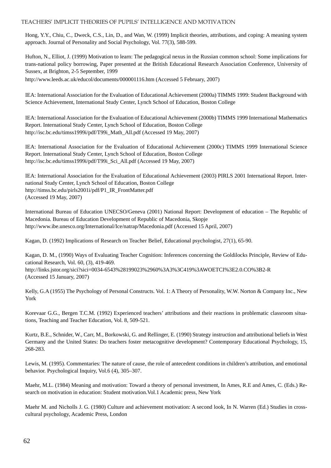Hong, Y.Y., Chiu, C., Dweck, C.S., Lin, D., and Wan, W. (1999) Implicit theories, attributions, and coping: A meaning system approach. Journal of Personality and Social Psychology, Vol. 77(3), 588-599.

Hufton, N., Elliot, J. (1999) Motivation to learn: The pedagogical nexus in the Russian common school: Some implications for trans-national policy borrowing, Paper presented at the British Educational Research Association Conference, University of Sussex, at Brighton, 2-5 September, 1999

http://www.leeds.ac.uk/educol/documents/000001116.htm (Accessed 5 February, 2007)

IEA: International Association for the Evaluation of Educational Achievement (2000a) TIMMS 1999: Student Background with Science Achievement, International Study Center, Lynch School of Education, Boston College

IEA: International Association for the Evaluation of Educational Achievement (2000b) TIMMS 1999 International Mathematics Report. International Study Center, Lynch School of Education, Boston College http://isc.bc.edu/timss1999i/pdf/T99i\_Math\_All.pdf (Accessed 19 May, 2007)

IEA: International Association for the Evaluation of Educational Achievement (2000c) TIMMS 1999 International Science Report. International Study Center, Lynch School of Education, Boston College http://isc.bc.edu/timss1999i/pdf/T99i\_Sci\_All.pdf (Accessed 19 May, 2007)

IEA: International Association for the Evaluation of Educational Achievement (2003) PIRLS 2001 International Report. International Study Center, Lynch School of Education, Boston College http://timss.bc.edu/pirls2001i/pdf/P1\_IR\_FrontMatter.pdf (Accessed 19 May, 2007)

International Bureau of Education UNECSO/Geneva (2001) National Report: Development of education – The Republic of Macedonia. Bureau of Education Development of Republic of Macedonia, Skopje http://www.ibe.unesco.org/International/Ice/natrap/Macedonia.pdf (Accessed 15 April, 2007)

Kagan, D. (1992) Implications of Research on Teacher Belief, Educational psychologist, 27(1), 65-90.

Kagan, D. M., (1990) Ways of Evaluating Teacher Cognition: Inferences concerning the Goldilocks Principle, Review of Educational Research, Vol. 60, (3), 419-469. http://links.jstor.org/sici?sici=0034-6543%28199023%2960%3A3%3C419%3AWOETCI%3E2.0.CO%3B2-R (Accessed 15 January, 2007)

Kelly, G.A (1955) The Psychology of Personal Constructs. Vol. 1: A Theory of Personality, W.W. Norton & Company Inc., New York

Korevaar G.G., Bergen T.C.M. (1992) Experienced teachers' attributions and their reactions in problematic classroom situations, Teaching and Teacher Education, Vol. 8, 509-521.

Kurtz, B.E., Schnider, W., Carr, M., Borkowski, G. and Rellinger, E. (1990) Strategy instruction and attributional beliefs in West Germany and the United States: Do teachers foster metacognitive development? Contemporary Educational Psychology, 15, 268-283.

Lewis, M. (1995). Commentaries: The nature of cause, the role of antecedent conditions in children's attribution, and emotional behavior. Psychological Inquiry, Vol.6 (4), 305–307.

Maehr, M.L. (1984) Meaning and motivation: Toward a theory of personal investment, In Ames, R.E and Ames, C. (Eds.) Research on motivation in education: Student motivation.Vol.1 Academic press, New York

Maehr M. and Nicholls J. G. (1980) Culture and achievement motivation: A second look, In N. Warren (Ed.) Studies in crosscultural psychology, Academic Press, London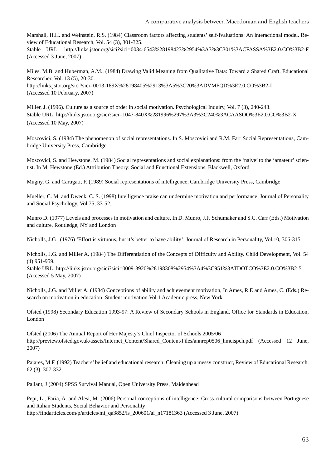Marshall, H.H. and Weinstein, R.S. (1984) Classroom factors affecting students' self-fvaluations: An interactional model. Review of Educational Research, Vol. 54 (3), 301-325. Stable URL: http://links.jstor.org/sici?sici=0034-6543%28198423%2954%3A3%3C301%3ACFASSA%3E2.0.CO%3B2-F (Accessed 3 June, 2007)

Miles, M.B. and Huberman, A.M., (1984) Drawing Valid Meaning from Qualitative Data: Toward a Shared Craft, Educational Researcher, Vol. 13 (5), 20-30. http://links.jstor.org/sici?sici=0013-189X%28198405%2913%3A5%3C20%3ADVMFQD%3E2.0.CO%3B2-I (Accessed 10 February, 2007)

Miller, J. (1996). Culture as a source of order in social motivation. Psychological Inquiry, Vol. 7 (3), 240-243. Stable URL: http://links.jstor.org/sici?sici=1047-840X%281996%297%3A3%3C240%3ACAASOO%3E2.0.CO%3B2-X (Accessed 10 May, 2007)

Moscovici, S. (1984) The phenomenon of social representations. In S. Moscovici and R.M. Farr Social Representations, Cambridge University Press, Cambridge

Moscovici, S. and Hewstone, M. (1984) Social representations and social explanations: from the 'naive' to the 'amateur' scientist. In M. Hewstone (Ed.) Attribution Theory: Social and Functional Extensions, Blackwell, Oxford

Mugny, G. and Carugati, F. (1989) Social representations of intelligence, Cambridge University Press, Cambridge

Mueller, C. M. and Dweck, C. S. (1998) Intelligence praise can undermine motivation and performance. Journal of Personality and Social Psychology, Vol.75, 33-52.

Munro D. (1977) Levels and processes in motivation and culture, In D. Munro, J.F. Schumaker and S.C. Carr (Eds.) Motivation and culture, Routledge, NY and London

Nicholls, J.G . (1976) 'Effort is virtuous, but it's better to have ability'. Journal of Research in Personality, Vol.10, 306-315.

Nicholls, J.G. and Miller A. (1984) The Differentiation of the Concepts of Difficulty and Ability. Child Development, Vol. 54 (4) 951-959.

Stable URL: http://links.jstor.org/sici?sici=0009-3920%28198308%2954%3A4%3C951%3ATDOTCO%3E2.0.CO%3B2-5 (Accessed 5 May, 2007)

Nicholls, J.G. and Miller A. (1984) Conceptions of ability and achievement motivation, In Ames, R.E and Ames, C. (Eds.) Research on motivation in education: Student motivation.Vol.1 Academic press, New York

Ofsted (1998) Secondary Education 1993-97: A Review of Secondary Schools in England. Office for Standards in Education, London

Ofsted (2006) The Annual Report of Her Majesty's Chief Inspector of Schools 2005/06 http://preview.ofsted.gov.uk/assets/Internet\_Content/Shared\_Content/Files/annrep0506\_hmcispch.pdf (Accessed 12 June, 2007)

Pajares, M.F. (1992) Teachers' belief and educational research: Cleaning up a messy construct, Review of Educational Research, 62 (3), 307-332.

Pallant, J (2004) SPSS Survival Manual, Open University Press, Maidenhead

Pepi, L., Faria, A. and Alesi, M. (2006) Personal conceptions of intelligence: Cross-cultural comparisons between Portuguese and Italian Students, Social Behavior and Personality http://findarticles.com/p/articles/mi\_qa3852/is\_200601/ai\_n17181363 (Accessed 3 June, 2007)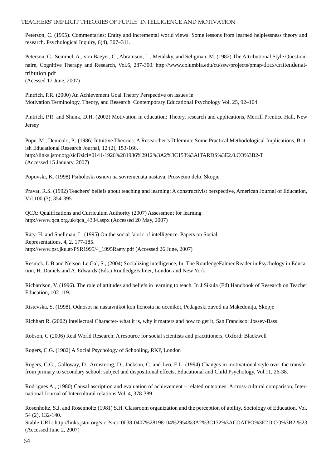Peterson, C. (1995). Commentaries: Entity and incremental world views: Some lessons from learned helplessness theory and research. Psychological Inquiry, 6(4), 307–311.

Peterson, C., Semmel, A., von Baeyer, C., Abramson, L., Metalsky, and Seligman, M. (1982) The Attributional Style Questionnaire, Cognitive Therapy and Research, Vol.6, 287-300. http://www.columbia.edu/cu/ssw/projects/pmap/docs/crittendenattribution.pdf

(Acessed 17 June, 2007)

Pintrich, P.R. (2000) An Achievement Goal Theory Perspective on Issues in Motivation Terminology, Theory, and Research. Contemporary Educational Psychology Vol. 25, 92–104

Pintrich, P.R. and Shunk, D.H. (2002) Motivation in education: Theory, research and applications, Merrill Prentice Hall, New Jersey

Pope, M., Denicolo, P., (1986) Intuitive Theories: A Researcher's Dilemma: Some Practical Methodological Implications, British Educational Research Journal, 12 (2), 153-166. http://links.jstor.org/sici?sici=0141-1926%281986%2912%3A2%3C153%3AITARDS%3E2.0.CO%3B2-T (Accessed 15 January, 2007)

Popovski, K. (1998) Psiholoski osnovi na sovremenata nastava, Prosvetno delo, Skopje

Pravat, R.S. (1992) Teachers' beliefs about teaching and learning: A constructivist perspective, American Journal of Education, Vol.100 (3), 354-395

QCA: Qualifications and Curriculum Authority (2007) Assessment for learning http://www.qca.org.uk/qca\_4334.aspx (Accessed 20 May, 2007)

Räty, H. and Snellman, L. (1995) On the social fabric of intelligence. Papers on Social Representations, 4, 2, 177-185. http://www.psr.jku.at/PSR1995/4\_1995Raety.pdf (Accessed 26 June, 2007)

Resnick, L.B and Nelson-Le Gal, S., (2004) Socializing intelligence, In: The RoutledgeFalmer Reader in Psychology in Education, H. Daniels and A. Edwards (Eds.) RoutledgeFalmer, London and New York

Richardson, V. (1996). The role of attitudes and beliefs in learning to teach. In J.Sikula (Ed) Handbook of Research on Teacher Education, 102-119.

Ristevska, S. (1998), Odnosot na nastavnikot kon licnosta na ucenikot, Pedagoski zavod na Makedonija, Skopje

Richhart R. (2002) Intellectual Character- what it is, why it matters and how to get it, San Francisco: Jossey-Bass

Robson, C (2006) Real World Research: A resource for social scientists and practitioners, Oxford: Blackwell

Rogers, C.G. (1982) A Social Psychology of Schooling, RKP, London

Rogers, C.G., Galloway, D., Armstrong, D., Jackson, C. and Leo, E.L. (1994) Changes in motivational style over the transfer from primary to secondary school: subject and dispositional effects, Educational and Child Psychology, Vol.11, 26-38.

Rodrigues A., (1980) Causal ascription and evaluation of achievement – related outcomes: A cross-cultural comparison, International Journal of Intercultural relations Vol. 4, 378-389.

Rosenholtz, S.J. and Rosenholtz (1981) S.H. Classroom organization and the perception of ability, Sociology of Education, Vol. 54 (2), 132-140.

Stable URL: http://links.jstor.org/sici?sici=0038-0407%28198104%2954%3A2%3C132%3ACOATPO%3E2.0.CO%3B2-%23 (Accessed June 2, 2007)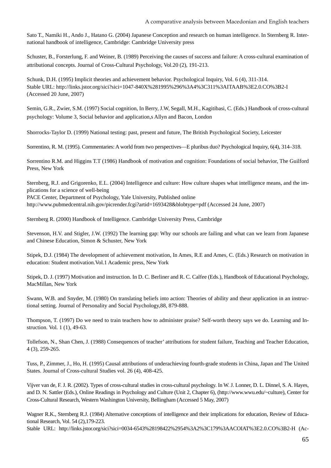Sato T., Namiki H., Ando J., Hatano G. (2004) Japanese Conception and research on human intelligence. In Sternberg R. International handbook of intelligence, Cambridge: Cambridge University press

Schuster, B., Forsterlung, F. and Weiner, B. (1989) Perceiving the causes of success and failure: A cross-cultural examination of attributional concepts. Journal of Cross-Cultural Psychology, Vol.20 (2), 191-213.

Schunk, D.H. (1995) Implicit theories and achievement behavior. Psychological Inquiry, Vol. 6 (4), 311-314. Stable URL: http://links.jstor.org/sici?sici=1047-840X%281995%296%3A4%3C311%3AITAAB%3E2.0.CO%3B2-I (Accessed 20 June, 2007)

Semin, G.R., Zwier, S.M. (1997) Social cognition, In Berry, J.W, Segall, M.H., Kagitibasi, C. (Eds.) Handbook of cross-cultural psychology: Volume 3, Social behavior and application,s Allyn and Bacon, London

Shorrocks-Taylor D. (1999) National testing: past, present and future, The British Psychological Society, Leicester

Sorrentino, R. M. (1995). Commentaries: A world from two perspectives—E pluribus duo? Psychological Inquiry, 6(4), 314–318.

Sorrentino R.M. and Higgins T.T (1986) Handbook of motivation and cognition: Foundations of social behavior, The Guilford Press, New York

Sternberg, R.J. and Grigorenko, E.L. (2004) Intelligence and culture: How culture shapes what intelligence means, and the implications for a science of well-being

PACE Center, Department of Psychology, Yale University, Published online http://www.pubmedcentral.nih.gov/picrender.fcgi?artid=1693428&blobtype=pdf (Accessed 24 June, 2007)

Sternberg R. (2000) Handbook of Intelligence. Cambridge University Press, Cambridge

Stevenson, H.V. and Stigler, J.W. (1992) The learning gap: Why our schools are failing and what can we learn from Japanese and Chinese Education, Simon & Schuster, New York

Stipek, D.J. (1984) The development of achievement motivation, In Ames, R.E and Ames, C. (Eds.) Research on motivation in education: Student motivation.Vol.1 Academic press, New York

Stipek, D. J. (1997) Motivation and instruction. In D. C. Berliner and R. C. Calfee (Eds.), Handbook of Educational Psychology, MacMillan, New York

Swann, W.B. and Snyder, M. (1980) On translating beliefs into action: Theories of ability and theur application in an instructional setting. Journal of Personality and Social Psychology,88, 879-888.

Thompson, T. (1997) Do we need to train teachers how to administer praise? Self-worth theory says we do. Learning and Instruction. Vol. 1 (1), 49-63.

Tollefson, N., Shan Chen, J. (1988) Consequences of teacher' attributions for student failure, Teaching and Teacher Education, 4 (3), 259-265.

Tuss, P., Zimmer, J., Ho, H. (1995) Causal attributions of underachieving fourth-grade students in China, Japan and The United States. Journal of Cross-cultural Studies vol. 26 (4), 408-425.

Vijver van de, F. J. R. (2002). Types of cross-cultural studies in cross-cultural psychology. In W. J. Lonner, D. L. Dinnel, S. A. Hayes, and D. N. Sattler (Eds.), Online Readings in Psychology and Culture (Unit 2, Chapter 6), (http://www.wwu.edu/~culture), Center for Cross-Cultural Research, Western Washington University, Bellingham (Accessed 5 May, 2007)

Wagner R.K., Sternberg R.J. (1984) Alternative conceptions of intelligence and their implications for education, Review of Educational Research, Vol. 54 (2),179-223.

Stable URL: http://links.jstor.org/sici?sici=0034-6543%28198422%2954%3A2%3C179%3AACOIAT%3E2.0.CO%3B2-H (Ac-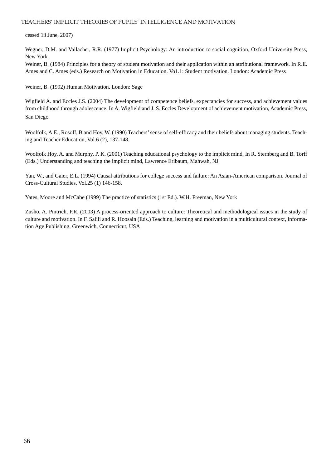#### cessed 13 June, 2007)

Wegner, D.M. and Vallacher, R.R. (1977) Implicit Psychology: An introduction to social cognition, Oxford University Press, New York

Weiner, B. (1984) Principles for a theory of student motivation and their application within an attributional framework. In R.E. Ames and C. Ames (eds.) Research on Motivation in Education. Vo1.1: Student motivation. London: Academic Press

Weiner, B. (1992) Human Motivation. London: Sage

Wigfield A. and Eccles J.S. (2004) The development of competence beliefs, expectancies for success, and achievement values from childhood through adolescence. In A. Wigfield and J. S. Eccles Development of achievement motivation, Academic Press, San Diego

Woolfolk, A.E., Rosoff, B and Hoy, W. (1990) Teachers' sense of self-efficacy and their beliefs about managing students. Teaching and Teacher Education, Vol.6 (2), 137-148.

Woolfolk Hoy, A. and Murphy, P. K. (2001) Teaching educational psychology to the implicit mind. In R. Sternberg and B. Torff (Eds.) Understanding and teaching the implicit mind, Lawrence Erlbaum, Mahwah, NJ

Yan, W., and Gaier, E.L. (1994) Causal attributions for college success and failure: An Asian-American comparison. Journal of Cross-Cultural Studies, Vol.25 (1) 146-158.

Yates, Moore and McCabe (1999) The practice of statistics (1st Ed.). W.H. Freeman, New York

Zusho, A. Pintrich, P.R. (2003) A process-oriented approach to culture: Theoretical and methodological issues in the study of culture and motivation. In F. Salili and R. Hoosain (Eds.) Teaching, learning and motivation in a multicultural context, Information Age Publishing, Greenwich, Connecticut, USA